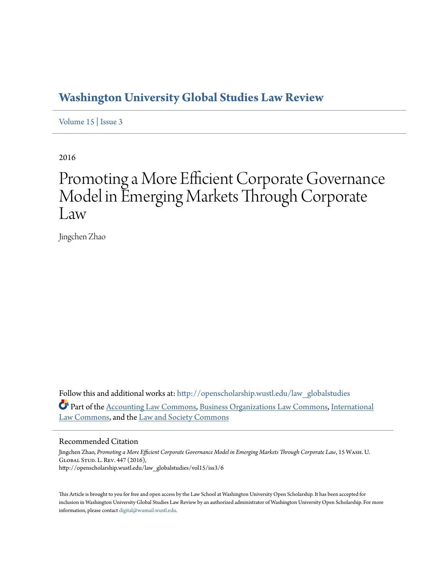# **[Washington University Global Studies Law Review](http://openscholarship.wustl.edu/law_globalstudies?utm_source=openscholarship.wustl.edu%2Flaw_globalstudies%2Fvol15%2Fiss3%2F6&utm_medium=PDF&utm_campaign=PDFCoverPages)**

[Volume 15](http://openscholarship.wustl.edu/law_globalstudies/vol15?utm_source=openscholarship.wustl.edu%2Flaw_globalstudies%2Fvol15%2Fiss3%2F6&utm_medium=PDF&utm_campaign=PDFCoverPages) | [Issue 3](http://openscholarship.wustl.edu/law_globalstudies/vol15/iss3?utm_source=openscholarship.wustl.edu%2Flaw_globalstudies%2Fvol15%2Fiss3%2F6&utm_medium=PDF&utm_campaign=PDFCoverPages)

2016

# Promoting a More Efficient Corporate Governance Model in Emerging Markets Through Corporate Law

Jingchen Zhao

Follow this and additional works at: [http://openscholarship.wustl.edu/law\\_globalstudies](http://openscholarship.wustl.edu/law_globalstudies?utm_source=openscholarship.wustl.edu%2Flaw_globalstudies%2Fvol15%2Fiss3%2F6&utm_medium=PDF&utm_campaign=PDFCoverPages) Part of the [Accounting Law Commons](http://network.bepress.com/hgg/discipline/828?utm_source=openscholarship.wustl.edu%2Flaw_globalstudies%2Fvol15%2Fiss3%2F6&utm_medium=PDF&utm_campaign=PDFCoverPages), [Business Organizations Law Commons,](http://network.bepress.com/hgg/discipline/900?utm_source=openscholarship.wustl.edu%2Flaw_globalstudies%2Fvol15%2Fiss3%2F6&utm_medium=PDF&utm_campaign=PDFCoverPages) [International](http://network.bepress.com/hgg/discipline/609?utm_source=openscholarship.wustl.edu%2Flaw_globalstudies%2Fvol15%2Fiss3%2F6&utm_medium=PDF&utm_campaign=PDFCoverPages) [Law Commons](http://network.bepress.com/hgg/discipline/609?utm_source=openscholarship.wustl.edu%2Flaw_globalstudies%2Fvol15%2Fiss3%2F6&utm_medium=PDF&utm_campaign=PDFCoverPages), and the [Law and Society Commons](http://network.bepress.com/hgg/discipline/853?utm_source=openscholarship.wustl.edu%2Flaw_globalstudies%2Fvol15%2Fiss3%2F6&utm_medium=PDF&utm_campaign=PDFCoverPages)

### Recommended Citation

Jingchen Zhao, *Promoting a More Efficient Corporate Governance Model in Emerging Markets Through Corporate Law*, 15 Wash. U. Global Stud. L. Rev. 447 (2016), http://openscholarship.wustl.edu/law\_globalstudies/vol15/iss3/6

This Article is brought to you for free and open access by the Law School at Washington University Open Scholarship. It has been accepted for inclusion in Washington University Global Studies Law Review by an authorized administrator of Washington University Open Scholarship. For more information, please contact [digital@wumail.wustl.edu.](mailto:digital@wumail.wustl.edu)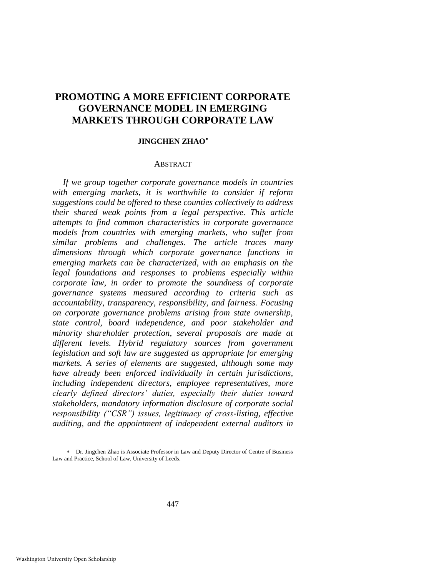# **PROMOTING A MORE EFFICIENT CORPORATE GOVERNANCE MODEL IN EMERGING MARKETS THROUGH CORPORATE LAW**

# **JINGCHEN ZHAO**

# **ABSTRACT**

*If we group together corporate governance models in countries with emerging markets, it is worthwhile to consider if reform suggestions could be offered to these counties collectively to address their shared weak points from a legal perspective. This article attempts to find common characteristics in corporate governance models from countries with emerging markets, who suffer from similar problems and challenges. The article traces many dimensions through which corporate governance functions in emerging markets can be characterized, with an emphasis on the legal foundations and responses to problems especially within corporate law, in order to promote the soundness of corporate governance systems measured according to criteria such as accountability, transparency, responsibility, and fairness. Focusing on corporate governance problems arising from state ownership, state control, board independence, and poor stakeholder and minority shareholder protection, several proposals are made at different levels. Hybrid regulatory sources from government legislation and soft law are suggested as appropriate for emerging markets. A series of elements are suggested, although some may have already been enforced individually in certain jurisdictions, including independent directors, employee representatives, more clearly defined directors' duties, especially their duties toward stakeholders, mandatory information disclosure of corporate social responsibility ("CSR") issues, legitimacy of cross-listing, effective auditing, and the appointment of independent external auditors in* 

Dr. Jingchen Zhao is Associate Professor in Law and Deputy Director of Centre of Business Law and Practice, School of Law, University of Leeds.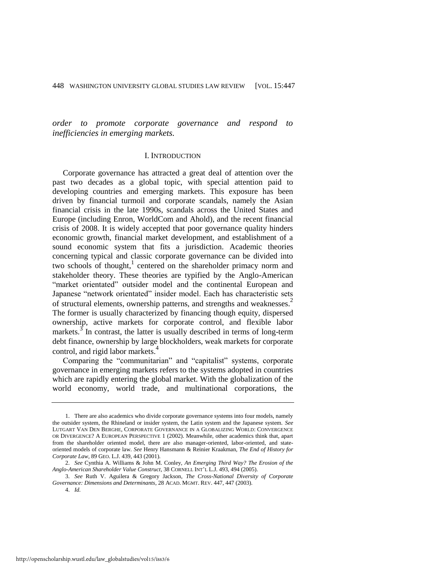*order to promote corporate governance and respond to inefficiencies in emerging markets.* 

#### I. INTRODUCTION

Corporate governance has attracted a great deal of attention over the past two decades as a global topic, with special attention paid to developing countries and emerging markets. This exposure has been driven by financial turmoil and corporate scandals, namely the Asian financial crisis in the late 1990s, scandals across the United States and Europe (including Enron, WorldCom and Ahold), and the recent financial crisis of 2008. It is widely accepted that poor governance quality hinders economic growth, financial market development, and establishment of a sound economic system that fits a jurisdiction. Academic theories concerning typical and classic corporate governance can be divided into two schools of thought,<sup>1</sup> centered on the shareholder primacy norm and stakeholder theory. These theories are typified by the Anglo-American "market orientated" outsider model and the continental European and Japanese "network orientated" insider model. Each has characteristic sets of structural elements, ownership patterns, and strengths and weaknesses.<sup>2</sup> The former is usually characterized by financing though equity, dispersed ownership, active markets for corporate control, and flexible labor markets.<sup>3</sup> In contrast, the latter is usually described in terms of long-term debt finance, ownership by large blockholders, weak markets for corporate control, and rigid labor markets.<sup>4</sup>

Comparing the "communitarian" and "capitalist" systems, corporate governance in emerging markets refers to the systems adopted in countries which are rapidly entering the global market. With the globalization of the world economy, world trade, and multinational corporations, the

<sup>1.</sup> There are also academics who divide corporate governance systems into four models, namely the outsider system, the Rhineland or insider system, the Latin system and the Japanese system. *See* LUTGART VAN DEN BERGHE, CORPORATE GOVERNANCE IN A GLOBALIZING WORLD: CONVERGENCE OR DIVERGENCE? A EUROPEAN PERSPECTIVE 1 (2002). Meanwhile, other academics think that, apart from the shareholder oriented model, there are also manager-oriented, labor-oriented, and stateoriented models of corporate law. *See* Henry Hansmann & Reinier Kraakman, *The End of History for Corporate Law*, 89 GEO. L.J. 439, 443 (2001).

<sup>2.</sup> *See* Cynthia A. Williams & John M. Conley, *An Emerging Third Way? The Erosion of the Anglo-American Shareholder Value Construct*, 38 CORNELL INT'L L.J. 493, 494 (2005).

<sup>3.</sup> *See* Ruth V. Aguilera & Gregory Jackson, *The Cross-National Diversity of Corporate Governance: Dimensions and Determinants*, 28 ACAD. MGMT. REV. 447, 447 (2003).

<sup>4.</sup> *Id.*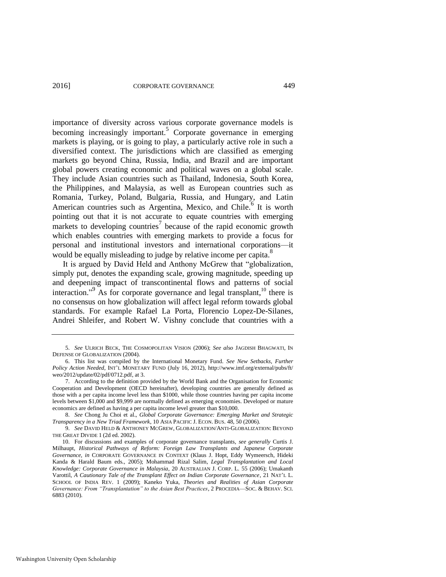importance of diversity across various corporate governance models is becoming increasingly important.<sup>5</sup> Corporate governance in emerging markets is playing, or is going to play, a particularly active role in such a diversified context. The jurisdictions which are classified as emerging markets go beyond China, Russia, India, and Brazil and are important global powers creating economic and political waves on a global scale. They include Asian countries such as Thailand, Indonesia, South Korea, the Philippines, and Malaysia, as well as European countries such as Romania, Turkey, Poland, Bulgaria, Russia, and Hungary, and Latin American countries such as Argentina, Mexico, and Chile.<sup>6</sup> It is worth pointing out that it is not accurate to equate countries with emerging markets to developing countries<sup>7</sup> because of the rapid economic growth which enables countries with emerging markets to provide a focus for personal and institutional investors and international corporations—it would be equally misleading to judge by relative income per capita.<sup>8</sup>

<span id="page-3-0"></span>It is argued by David Held and Anthony McGrew that "globalization, simply put, denotes the expanding scale, growing magnitude, speeding up and deepening impact of transcontinental flows and patterns of social interaction."<sup>9</sup> As for corporate governance and legal transplant, <sup>10</sup> there is no consensus on how globalization will affect legal reform towards global standards. For example Rafael La Porta, Florencio Lopez-De-Silanes, Andrei Shleifer, and Robert W. Vishny conclude that countries with a

<sup>5.</sup> *See* ULRICH BECK, THE COSMOPOLITAN VISION (2006); *See also* JAGDISH BHAGWATI, IN DEFENSE OF GLOBALIZATION (2004).

<sup>6.</sup> This list was compiled by the International Monetary Fund. *See New Setbacks, Further Policy Action Needed*, INT'L MONETARY FUND (July 16, 2012), [http://www.imf.org/external/pubs/ft/](http://www.imf.org/external/pubs/ft/weo/2012/update/02/pdf/0712.pdf)  [weo/2012/update/02/pdf/0712.pdf,](http://www.imf.org/external/pubs/ft/weo/2012/update/02/pdf/0712.pdf) at 3.

<sup>7.</sup> According to the definition provided by the World Bank and the Organisation for Economic Cooperation and Development (OECD hereinafter), developing countries are generally defined as those with a per capita income level less than \$1000, while those countries having per capita income levels between \$1,000 and \$9,999 are normally defined as emerging economies. Developed or mature economics are defined as having a per capita income level greater than \$10,000.

<sup>8.</sup> *See* Chong Ju Choi et al., *Global Corporate Governance: Emerging Market and Strategic Transparency in a New Triad Framework*, 10 ASIA PACIFIC J. ECON. BUS. 48, 50 (2006).

<sup>9.</sup> *See* DAVID HELD & ANTHONEY MCGREW, GLOBALIZATION/ANTI-GLOBALIZATION: BEYOND THE GREAT DIVIDE 1 (2d ed. 2002).

<sup>10.</sup> For discussions and examples of corporate governance transplants, *see generally* Curtis J. Milhaupt, *Historical Pathways of Reform: Foreign Law Transplants and Japanese Corporate Governance*, *in* CORPORATE GOVERNANCE IN CONTEXT (Klaus J. Hopt, Eddy Wymeersch, Hideki Kanda & Harald Baum eds., 2005); Mohammad Rizal Salim, *Legal Transplantation and Local Knowledge: Corporate Governance in Malaysia*, 20 AUSTRALIAN J. CORP. L. 55 (2006); Umakanth Varottil, *A Cautionary Tale of the Transplant Effect on Indian Corporate Governance*, 21 NAT'L L. SCHOOL OF INDIA REV. 1 (2009); Kaneko Yuka, *Theories and Realities of Asian Corporate Governance: From "Transplantation" to the Asian Best Practices*, 2 PROCEDIA—SOC. & BEHAV. SCI. 6883 (2010).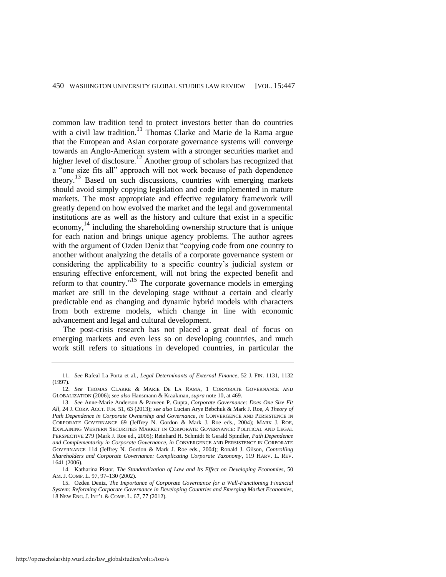common law tradition tend to protect investors better than do countries with a civil law tradition.<sup>11</sup> Thomas Clarke and Marie de la Rama argue that the European and Asian corporate governance systems will converge towards an Anglo-American system with a stronger securities market and higher level of disclosure.<sup>12</sup> Another group of scholars has recognized that a "one size fits all" approach will not work because of path dependence theory.<sup>13</sup> Based on such discussions, countries with emerging markets should avoid simply copying legislation and code implemented in mature markets. The most appropriate and effective regulatory framework will greatly depend on how evolved the market and the legal and governmental institutions are as well as the history and culture that exist in a specific economy,<sup>14</sup> including the shareholding ownership structure that is unique for each nation and brings unique agency problems. The author agrees with the argument of Ozden Deniz that "copying code from one country to another without analyzing the details of a corporate governance system or considering the applicability to a specific country's judicial system or ensuring effective enforcement, will not bring the expected benefit and reform to that country."15 The corporate governance models in emerging market are still in the developing stage without a certain and clearly predictable end as changing and dynamic hybrid models with characters from both extreme models, which change in line with economic advancement and legal and cultural development.

The post-crisis research has not placed a great deal of focus on emerging markets and even less so on developing countries, and much work still refers to situations in developed countries, in particular the

<sup>11.</sup> *See* Rafeal La Porta et al., *Legal Determinants of External Finance*, 52 J. FIN. 1131, 1132 (1997).

<sup>12.</sup> *See* THOMAS CLARKE & MARIE DE LA RAMA, 1 CORPORATE GOVERNANCE AND GLOBALIZATION (2006); *see also* Hansmann & Kraakman, *supra* not[e 10,](#page-3-0) at 469.

<sup>13.</sup> *See* Anne-Marie Anderson & Parveen P. Gupta, *Corporate Governance: Does One Size Fit All*, 24 J. CORP. ACCT. FIN. 51, 63 (2013); s*ee also* Lucian Arye Bebchuk & Mark J. Roe, *A Theory of Path Dependence in Corporate Ownership and Governance*, *in* CONVERGENCE AND PERSISTENCE IN CORPORATE GOVERNANCE 69 (Jeffrey N. Gordon & Mark J. Roe eds., 2004); MARK J. ROE, EXPLAINING WESTERN SECURITIES MARKET IN CORPORATE GOVERNANCE: POLITICAL AND LEGAL PERSPECTIVE 279 (Mark J. Roe ed., 2005); Reinhard H. Schmidt & Gerald Spindler, *Path Dependence and Complementarity in Corporate Governance*, *in* CONVERGENCE AND PERSISTENCE IN CORPORATE GOVERNANCE 114 (Jeffrey N. Gordon & Mark J. Roe eds., 2004); Ronald J. Gilson, *Controlling Shareholders and Corporate Governance: Complicating Corporate Taxonomy*, 119 HARV. L. REV. 1641 (2006).

<sup>14.</sup> Katharina Pistor, *The Standardization of Law and Its Effect on Developing Economies*, 50 AM. J. COMP. L*.* 97, 97–130 (2002).

<sup>15.</sup> Ozden Deniz, *The Importance of Corporate Governance for a Well-Functioning Financial System: Reforming Corporate Governance in Developing Countries and Emerging Market Economies*, 18 NEW ENG. J. INT'L & COMP. L*.* 67, 77 (2012).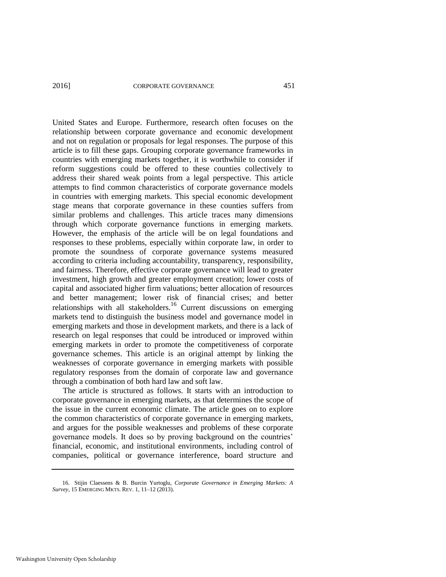United States and Europe. Furthermore, research often focuses on the relationship between corporate governance and economic development and not on regulation or proposals for legal responses. The purpose of this article is to fill these gaps. Grouping corporate governance frameworks in countries with emerging markets together, it is worthwhile to consider if reform suggestions could be offered to these counties collectively to address their shared weak points from a legal perspective. This article attempts to find common characteristics of corporate governance models in countries with emerging markets. This special economic development stage means that corporate governance in these counties suffers from similar problems and challenges. This article traces many dimensions through which corporate governance functions in emerging markets. However, the emphasis of the article will be on legal foundations and responses to these problems, especially within corporate law, in order to promote the soundness of corporate governance systems measured according to criteria including accountability, transparency, responsibility, and fairness. Therefore, effective corporate governance will lead to greater investment, high growth and greater employment creation; lower costs of capital and associated higher firm valuations; better allocation of resources and better management; lower risk of financial crises; and better relationships with all stakeholders.<sup>16</sup> Current discussions on emerging markets tend to distinguish the business model and governance model in emerging markets and those in development markets, and there is a lack of research on legal responses that could be introduced or improved within emerging markets in order to promote the competitiveness of corporate governance schemes. This article is an original attempt by linking the weaknesses of corporate governance in emerging markets with possible regulatory responses from the domain of corporate law and governance through a combination of both hard law and soft law.

The article is structured as follows. It starts with an introduction to corporate governance in emerging markets, as that determines the scope of the issue in the current economic climate. The article goes on to explore the common characteristics of corporate governance in emerging markets, and argues for the possible weaknesses and problems of these corporate governance models. It does so by proving background on the countries' financial, economic, and institutional environments, including control of companies, political or governance interference, board structure and

<sup>16.</sup> Stijin Claessens & B. Burcin Yurtoglu, *Corporate Governance in Emerging Markets: A Survey*, 15 EMERGING MKTS. REV. 1, 11–12 (2013).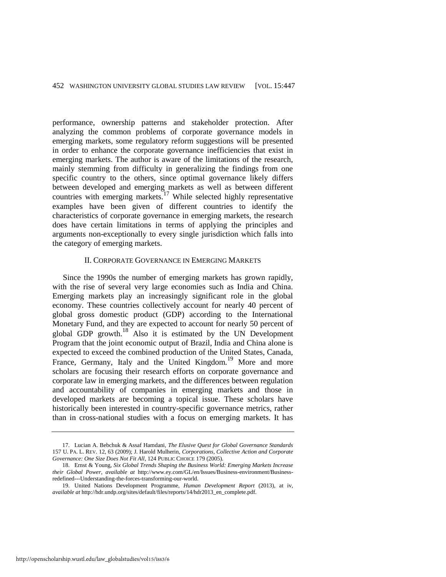performance, ownership patterns and stakeholder protection. After analyzing the common problems of corporate governance models in emerging markets, some regulatory reform suggestions will be presented in order to enhance the corporate governance inefficiencies that exist in emerging markets. The author is aware of the limitations of the research, mainly stemming from difficulty in generalizing the findings from one specific country to the others, since optimal governance likely differs between developed and emerging markets as well as between different countries with emerging markets.<sup>17</sup> While selected highly representative examples have been given of different countries to identify the characteristics of corporate governance in emerging markets, the research does have certain limitations in terms of applying the principles and arguments non-exceptionally to every single jurisdiction which falls into the category of emerging markets.

# II. CORPORATE GOVERNANCE IN EMERGING MARKETS

Since the 1990s the number of emerging markets has grown rapidly, with the rise of several very large economies such as India and China. Emerging markets play an increasingly significant role in the global economy. These countries collectively account for nearly 40 percent of global gross domestic product (GDP) according to the International Monetary Fund, and they are expected to account for nearly 50 percent of global GDP growth.18 Also it is estimated by the UN Development Program that the joint economic output of Brazil, India and China alone is expected to exceed the combined production of the United States, Canada, France, Germany, Italy and the United Kingdom.<sup>19</sup> More and more scholars are focusing their research efforts on corporate governance and corporate law in emerging markets, and the differences between regulation and accountability of companies in emerging markets and those in developed markets are becoming a topical issue. These scholars have historically been interested in country-specific governance metrics, rather than in cross-national studies with a focus on emerging markets. It has

<sup>17.</sup> Lucian A. Bebchuk & Assaf Hamdani, *The Elusive Quest for Global Governance Standards* 157 U. PA. L. REV. 12, 63 (2009); J. Harold Mulherin, *Corporations, Collective Action and Corporate Governance: One Size Does Not Fit All*, 124 PUBLIC CHOICE 179 (2005).

<sup>18.</sup> Ernst & Young, *Six Global Trends Shaping the Business World: Emerging Markets Increase their Global Power*, *available at* http://www.ey.com/GL/en/Issues/Business-environment/Businessredefined---Understanding-the-forces-transforming-our-world.

<sup>19.</sup> United Nations Development Programme, *Human Development Report* (2013), at iv, *available at* http://hdr.undp.org/sites/default/files/reports/14/hdr2013\_en\_complete.pdf.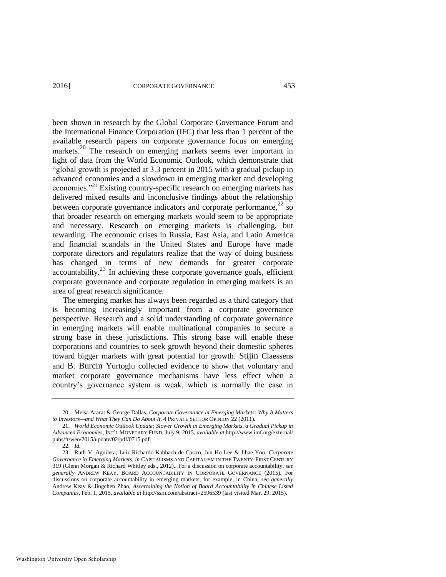been shown in research by the Global Corporate Governance Forum and the International Finance Corporation (IFC) that less than 1 percent of the available research papers on corporate governance focus on emerging markets.<sup>20</sup> The research on emerging markets seems ever important in light of data from the World Economic Outlook, which demonstrate that "global growth is projected at 3.3 percent in 2015 with a gradual pickup in advanced economies and a slowdown in emerging market and developing economies.<sup>"21</sup> Existing country-specific research on emerging markets has delivered mixed results and inconclusive findings about the relationship between corporate governance indicators and corporate performance, $22$  so that broader research on emerging markets would seem to be appropriate and necessary. Research on emerging markets is challenging, but rewarding. The economic crises in Russia, East Asia, and Latin America and financial scandals in the United States and Europe have made corporate directors and regulators realize that the way of doing business has changed in terms of new demands for greater corporate  $\alpha$  accountability.<sup>23</sup> In achieving these corporate governance goals, efficient corporate governance and corporate regulation in emerging markets is an area of great research significance.

The emerging market has always been regarded as a third category that is becoming increasingly important from a corporate governance perspective. Research and a solid understanding of corporate governance in emerging markets will enable multinational companies to secure a strong base in these jurisdictions. This strong base will enable these corporations and countries to seek growth beyond their domestic spheres toward bigger markets with great potential for growth. Stijin Claessens and B. Burcin Yurtoglu collected evidence to show that voluntary and market corporate governance mechanisms have less effect when a country's governance system is weak, which is normally the case in

<sup>20.</sup> Melsa Ararat & George Dallas, *Corporate Governance in Emerging Markets: Why It Matters to Investors—and What They Can Do About It*, 4 PRIVATE SECTOR OPINION 22 (2011).

<sup>21.</sup> *World Economic Outlook Update: Slower Growth in Emerging Markets, a Gradual Pickup in Advanced Economies*, INT'L MONETARY FUND, July 9, 2015, *available at* http://www.imf.org/external/ pubs/ft/weo/2015/update/02/pdf/0715.pdf.

<sup>22.</sup> *Id.*

<sup>23.</sup> Ruth V. Aguilera, Luiz Richardo Kabbach de Castro, Jun Ho Lee & Jihae You, *Corporate Governance in Emerging Markets*, *in* CAPITALISMS AND CAPITALISM IN THE TWENTY-FIRST CENTURY 319 (Glenn Morgan & Richard Whitley eds., 2012).. For a discussion on corporate accountability, *see generally* ANDREW KEAY, BOARD ACCOUNTABILITY IN CORPORATE GOVERNANCE (2015). For discussions on corporate accountability in emerging markets, for example, in China, *see generally* Andrew Keay & Jingchen Zhao, *Ascertaining the Notion of Board Accountability in Chinese Listed Companies*, Feb. 1, 2015, *available at* http://ssrn.com/abstract=2596539 (last visited Mar. 29, 2015).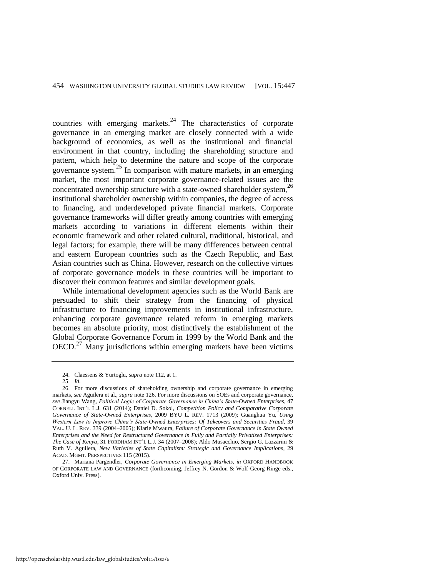countries with emerging markets. $24$  The characteristics of corporate governance in an emerging market are closely connected with a wide background of economics, as well as the institutional and financial environment in that country, including the shareholding structure and pattern, which help to determine the nature and scope of the corporate governance system.25 In comparison with mature markets, in an emerging market, the most important corporate governance-related issues are the concentrated ownership structure with a state-owned shareholder system,<sup>26</sup> institutional shareholder ownership within companies, the degree of access to financing, and underdeveloped private financial markets. Corporate governance frameworks will differ greatly among countries with emerging markets according to variations in different elements within their economic framework and other related cultural, traditional, historical, and legal factors; for example, there will be many differences between central and eastern European countries such as the Czech Republic, and East Asian countries such as China. However, research on the collective virtues of corporate governance models in these countries will be important to discover their common features and similar development goals.

While international development agencies such as the World Bank are persuaded to shift their strategy from the financing of physical infrastructure to financing improvements in institutional infrastructure, enhancing corporate governance related reform in emerging markets becomes an absolute priority, most distinctively the establishment of the Global Corporate Governance Forum in 1999 by the World Bank and the  $OECD<sup>27</sup>$  Many jurisdictions within emerging markets have been victims

<sup>24.</sup> Claessens & Yurtoglu, *supra* not[e 112,](#page-28-0) at 1.

<sup>25.</sup> *Id.*

<sup>26.</sup> For more discussions of shareholding ownership and corporate governance in emerging markets, *see* Aguilera et al., *supra* not[e 126.](#page-31-0) For more discussions on SOEs and corporate governance, *see* Jiangyu Wang, *Political Logic of Corporate Governance in China's State-Owned Enterprises*, 47 CORNELL INT'L L.J. 631 (2014); Daniel D. Sokol, *Competition Policy and Comparative Corporate Governance of State-Owned Enterprises*, 2009 BYU L. REV. 1713 (2009); Guanghua Yu, *Using Western Law to Improve China's State-Owned Enterprises: Of Takeovers and Securities Fraud*, 39 VAL. U. L. REV. 339 (2004–2005); Kiarie Mwaura, *Failure of Corporate Governance in State Owned Enterprises and the Need for Restructured Governance in Fully and Partially Privatized Enterprises: The Case of Kenya*, 31 FORDHAM INT'L L.J. 34 (2007–2008); Aldo Musacchio, Sergio G. Lazzarini & Ruth V. Aguilera, *New Varieties of State Capitalism: Strategic and Governance Implications*, 29 ACAD. MGMT. PERSPECTIVES 115 (2015).

<sup>27.</sup> Mariana Pargendler, *Corporate Governance in Emerging Markets*, *in* OXFORD HANDBOOK OF CORPORATE LAW AND GOVERNANCE (forthcoming, Jeffrey N. Gordon & Wolf-Georg Ringe eds., Oxford Univ. Press).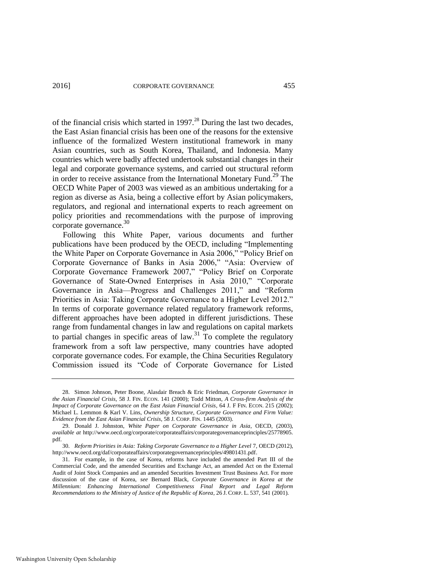of the financial crisis which started in  $1997<sup>28</sup>$  During the last two decades, the East Asian financial crisis has been one of the reasons for the extensive influence of the formalized Western institutional framework in many Asian countries, such as South Korea, Thailand, and Indonesia. Many countries which were badly affected undertook substantial changes in their legal and corporate governance systems, and carried out structural reform in order to receive assistance from the International Monetary Fund.<sup>29</sup> The OECD White Paper of 2003 was viewed as an ambitious undertaking for a region as diverse as Asia, being a collective effort by Asian policymakers, regulators, and regional and international experts to reach agreement on policy priorities and recommendations with the purpose of improving corporate governance. $30$ 

Following this White Paper, various documents and further publications have been produced by the OECD, including "Implementing the White Paper on Corporate Governance in Asia 2006," "Policy Brief on Corporate Governance of Banks in Asia 2006," "Asia: Overview of Corporate Governance Framework 2007," "Policy Brief on Corporate Governance of State-Owned Enterprises in Asia 2010," "Corporate Governance in Asia—Progress and Challenges 2011," and "Reform Priorities in Asia: Taking Corporate Governance to a Higher Level 2012." In terms of corporate governance related regulatory framework reforms, different approaches have been adopted in different jurisdictions. These range from fundamental changes in law and regulations on capital markets to partial changes in specific areas of  $\text{law}^3$ . To complete the regulatory framework from a soft law perspective, many countries have adopted corporate governance codes. For example, the China Securities Regulatory Commission issued its "Code of Corporate Governance for Listed

<sup>28.</sup> Simon Johnson, Peter Boone, Alasdair Breach & Eric Friedman, *Corporate Governance in the Asian Financial Crisis*, 58 J. FIN. ECON. 141 (2000); Todd Mitton, *A Cross-firm Analysis of the Impact of Corporate Governance on the East Asian Financial Crisis*, 64 J. F FIN. ECON. 215 (2002); Michael L. Lemmon & Karl V. Lins, *Ownership Structure, Corporate Governance and Firm Value: Evidence from the East Asian Financial Crisis*, 58 J. CORP. FIN. 1445 (2003).

<sup>29.</sup> Donald J. Johnston, *White Paper on Corporate Governance in Asia*, OECD, (2003), *available at* [http://www.oecd.org/corporate/corporateaffairs/corporategovernanceprinciples/25778905.](http://www.oecd.org/corporate/corporateaffairs/corporategovernanceprinciples/25778905.pdf)  [pdf.](http://www.oecd.org/corporate/corporateaffairs/corporategovernanceprinciples/25778905.pdf) 

<sup>30.</sup> *Reform Priorities in Asia: Taking Corporate Governance to a Higher Level* 7, OECD (2012), [http://www.oecd.org/daf/corporateaffairs/corporategovernanceprinciples/49801431.pdf.](http://www.oecd.org/daf/corporateaffairs/corporategovernanceprinciples/49801431.pdf)

<sup>31.</sup> For example, in the case of Korea, reforms have included the amended Part III of the Commercial Code, and the amended Securities and Exchange Act, an amended Act on the External Audit of Joint Stock Companies and an amended Securities Investment Trust Business Act. For more discussion of the case of Korea, *see* Bernard Black, *Corporate Governance in Korea at the Millennium: Enhancing International Competitiveness Final Report and Legal Reform Recommendations to the Ministry of Justice of the Republic of Korea*, 26 J. CORP. L. 537, 541 (2001).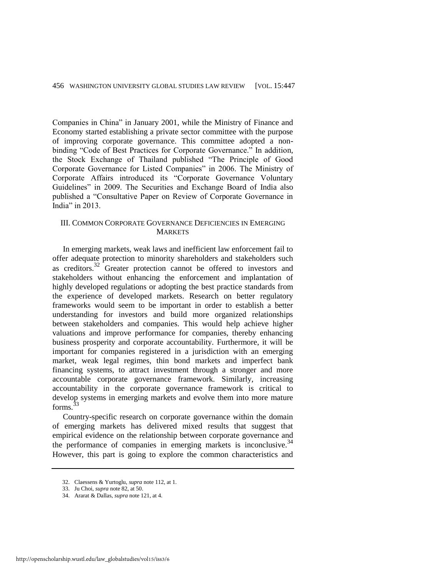Companies in China" in January 2001, while the Ministry of Finance and Economy started establishing a private sector committee with the purpose of improving corporate governance. This committee adopted a nonbinding "Code of Best Practices for Corporate Governance." In addition, the Stock Exchange of Thailand published "The Principle of Good Corporate Governance for Listed Companies" in 2006. The Ministry of Corporate Affairs introduced its "Corporate Governance Voluntary Guidelines" in 2009. The Securities and Exchange Board of India also published a "Consultative Paper on Review of Corporate Governance in India" in 2013.

#### III. COMMON CORPORATE GOVERNANCE DEFICIENCIES IN EMERGING **MARKETS**

In emerging markets, weak laws and inefficient law enforcement fail to offer adequate protection to minority shareholders and stakeholders such as creditors.32 Greater protection cannot be offered to investors and stakeholders without enhancing the enforcement and implantation of highly developed regulations or adopting the best practice standards from the experience of developed markets. Research on better regulatory frameworks would seem to be important in order to establish a better understanding for investors and build more organized relationships between stakeholders and companies. This would help achieve higher valuations and improve performance for companies, thereby enhancing business prosperity and corporate accountability. Furthermore, it will be important for companies registered in a jurisdiction with an emerging market, weak legal regimes, thin bond markets and imperfect bank financing systems, to attract investment through a stronger and more accountable corporate governance framework. Similarly, increasing accountability in the corporate governance framework is critical to develop systems in emerging markets and evolve them into more mature  $f$ orms<sup>33</sup>

Country-specific research on corporate governance within the domain of emerging markets has delivered mixed results that suggest that empirical evidence on the relationship between corporate governance and the performance of companies in emerging markets is inconclusive.  $34$ However, this part is going to explore the common characteristics and

<sup>32.</sup> Claessens & Yurtoglu, *supra* not[e 112,](#page-28-0) at 1.

<sup>33.</sup> Ju Choi, *supra* not[e 82,](#page-21-0) at 50.

<sup>34.</sup> Ararat & Dallas, *supra* not[e 121,](#page-30-0) at 4.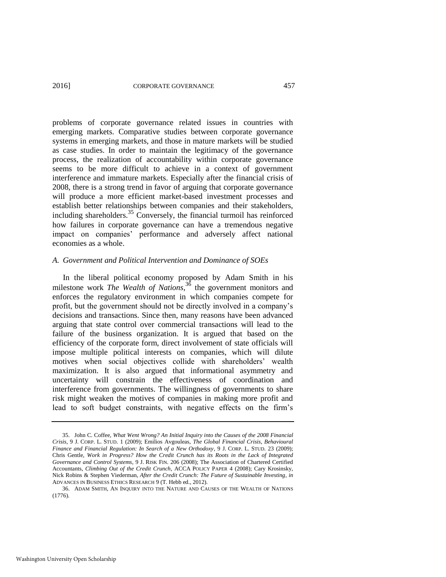#### 2016] CORPORATE GOVERNANCE 457

problems of corporate governance related issues in countries with emerging markets. Comparative studies between corporate governance systems in emerging markets, and those in mature markets will be studied as case studies. In order to maintain the legitimacy of the governance process, the realization of accountability within corporate governance seems to be more difficult to achieve in a context of government interference and immature markets. Especially after the financial crisis of 2008, there is a strong trend in favor of arguing that corporate governance will produce a more efficient market-based investment processes and establish better relationships between companies and their stakeholders, including shareholders.<sup>35</sup> Conversely, the financial turmoil has reinforced how failures in corporate governance can have a tremendous negative impact on companies' performance and adversely affect national economies as a whole.

#### *A. Government and Political Intervention and Dominance of SOEs*

In the liberal political economy proposed by Adam Smith in his milestone work *The Wealth of Nations*, <sup>36</sup> the government monitors and enforces the regulatory environment in which companies compete for profit, but the government should not be directly involved in a company's decisions and transactions. Since then, many reasons have been advanced arguing that state control over commercial transactions will lead to the failure of the business organization. It is argued that based on the efficiency of the corporate form, direct involvement of state officials will impose multiple political interests on companies, which will dilute motives when social objectives collide with shareholders' wealth maximization. It is also argued that informational asymmetry and uncertainty will constrain the effectiveness of coordination and interference from governments. The willingness of governments to share risk might weaken the motives of companies in making more profit and lead to soft budget constraints, with negative effects on the firm's

<sup>35.</sup> John C. Coffee, *What Went Wrong? An Initial Inquiry into the Causes of the 2008 Financial Crisis*, 9 J. CORP. L. STUD. 1 (2009); Emilios Avgouleas, *The Global Financial Crisis, Behavioural Finance and Financial Regulation: In Search of a New Orthodoxy*, 9 J. CORP. L. STUD. 23 (2009); Chris Gentle, *Work in Progress? How the Credit Crunch has its Roots in the Lack of Integrated Governance and Control Systems*, 9 J. RISK FIN. 206 (2008); The Association of Chartered Certified Accountants, *Climbing Out of the Credit Crunch*, ACCA POLICY PAPER 4 (2008); Cary Krosinsky, Nick Robins & Stephen Viederman, *After the Credit Crunch: The Future of Sustainable Investing*, *in*  ADVANCES IN BUSINESS ETHICS RESEARCH 9 (T. Hebb ed., 2012).

<sup>36.</sup> ADAM SMITH, AN INQUIRY INTO THE NATURE AND CAUSES OF THE WEALTH OF NATIONS  $(1776)$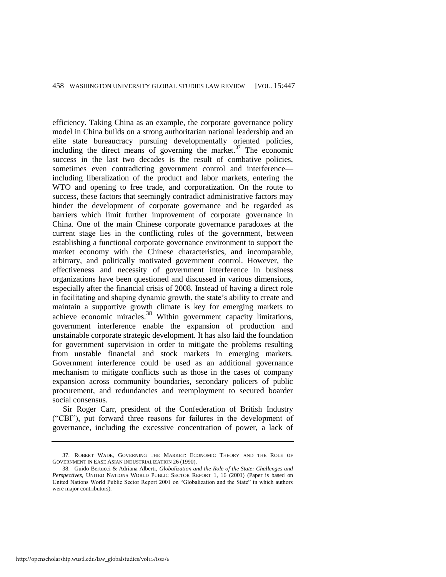efficiency. Taking China as an example, the corporate governance policy model in China builds on a strong authoritarian national leadership and an elite state bureaucracy pursuing developmentally oriented policies, including the direct means of governing the market. $^{37}$  The economic success in the last two decades is the result of combative policies, sometimes even contradicting government control and interference including liberalization of the product and labor markets, entering the WTO and opening to free trade, and corporatization. On the route to success, these factors that seemingly contradict administrative factors may hinder the development of corporate governance and be regarded as barriers which limit further improvement of corporate governance in China. One of the main Chinese corporate governance paradoxes at the current stage lies in the conflicting roles of the government, between establishing a functional corporate governance environment to support the market economy with the Chinese characteristics, and incomparable, arbitrary, and politically motivated government control. However, the effectiveness and necessity of government interference in business organizations have been questioned and discussed in various dimensions, especially after the financial crisis of 2008. Instead of having a direct role in facilitating and shaping dynamic growth, the state's ability to create and maintain a supportive growth climate is key for emerging markets to achieve economic miracles.<sup>38</sup> Within government capacity limitations, government interference enable the expansion of production and unstainable corporate strategic development. It has also laid the foundation for government supervision in order to mitigate the problems resulting from unstable financial and stock markets in emerging markets. Government interference could be used as an additional governance mechanism to mitigate conflicts such as those in the cases of company expansion across community boundaries, secondary policers of public procurement, and redundancies and reemployment to secured boarder social consensus.

Sir Roger Carr, president of the Confederation of British Industry ("CBI"), put forward three reasons for failures in the development of governance, including the excessive concentration of power, a lack of

<sup>37.</sup> ROBERT WADE, GOVERNING THE MARKET: ECONOMIC THEORY AND THE ROLE OF GOVERNMENT IN EASE ASIAN INDUSTRIALIZATION 26 (1990).

<sup>38.</sup> Guido Bertucci & Adriana Alberti, *Globalization and the Role of the State: Challenges and Perspectives*, UNITED NATIONS WORLD PUBLIC SECTOR REPORT 1, 16 (2001) (Paper is based on United Nations World Public Sector Report 2001 on "Globalization and the State" in which authors were major contributors).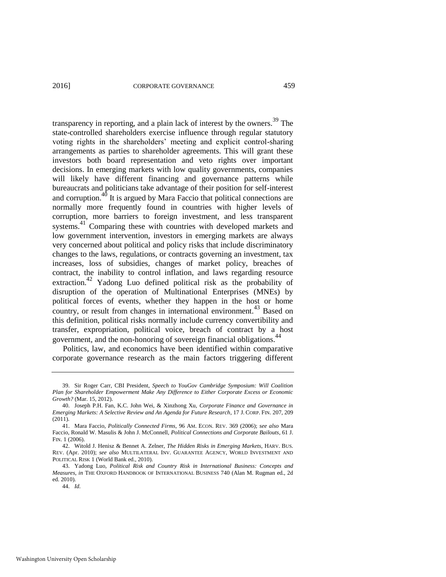transparency in reporting, and a plain lack of interest by the owners.<sup>39</sup> The state-controlled shareholders exercise influence through regular statutory voting rights in the shareholders' meeting and explicit control-sharing arrangements as parties to shareholder agreements. This will grant these investors both board representation and veto rights over important decisions. In emerging markets with low quality governments, companies will likely have different financing and governance patterns while bureaucrats and politicians take advantage of their position for self-interest and corruption.<sup>40</sup> It is argued by Mara Faccio that political connections are normally more frequently found in countries with higher levels of corruption, more barriers to foreign investment, and less transparent systems.<sup>41</sup> Comparing these with countries with developed markets and low government intervention, investors in emerging markets are always very concerned about political and policy risks that include discriminatory changes to the laws, regulations, or contracts governing an investment, tax increases, loss of subsidies, changes of market policy, breaches of contract, the inability to control inflation, and laws regarding resource extraction.42 Yadong Luo defined political risk as the probability of disruption of the operation of Multinational Enterprises (MNEs) by political forces of events, whether they happen in the host or home country, or result from changes in international environment.<sup>43</sup> Based on this definition, political risks normally include currency convertibility and transfer, expropriation, political voice, breach of contract by a host government, and the non-honoring of sovereign financial obligations.<sup>44</sup>

Politics, law, and economics have been identified within comparative corporate governance research as the main factors triggering different

<sup>39.</sup> Sir Roger Carr, CBI President, *Speech to YouGov Cambridge Symposium: Will Coalition Plan for Shareholder Empowerment Make Any Difference to Either Corporate Excess or Economic Growth?* (Mar. 15, 2012).

<sup>40.</sup> Joseph P.H. Fan, K.C. John Wei, & Xinzhong Xu, *Corporate Finance and Governance in Emerging Markets: A Selective Review and An Agenda for Future Research*, 17 J. CORP. FIN. 207, 209 (2011).

<sup>41.</sup> Mara Faccio, *Politically Connected Firms*, 96 AM. ECON. REV. 369 (2006); *see also* Mara Faccio, Ronald W. Masulis & John J. McConnell, *Political Connections and Corporate Bailouts*, 61 J. FIN. 1 (2006).

<sup>42.</sup> Witold J. Henisz & Bennet A. Zelner, *The Hidden Risks in Emerging Markets*, HARV. BUS. REV. (Apr. 2010); *see also* MULTILATERAL INV. GUARANTEE AGENCY, WORLD INVESTMENT AND POLITICAL RISK 1 (World Bank ed., 2010).

<sup>43.</sup> Yadong Luo, *Political Risk and Country Risk in International Business: Concepts and Measures*, *in* THE OXFORD HANDBOOK OF INTERNATIONAL BUSINESS 740 (Alan M. Rugman ed., 2d ed. 2010).

<sup>44.</sup> *Id.*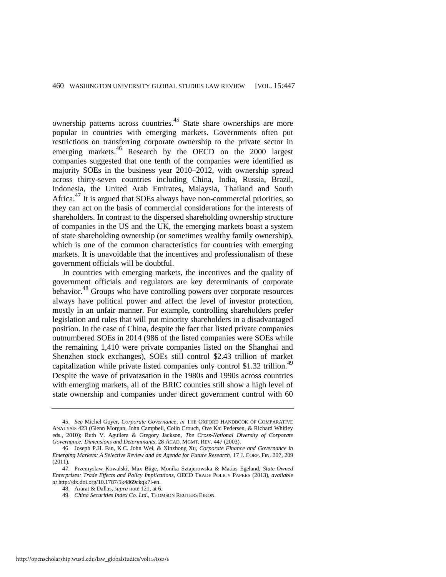ownership patterns across countries.45 State share ownerships are more popular in countries with emerging markets. Governments often put restrictions on transferring corporate ownership to the private sector in emerging markets.<sup>46</sup> Research by the OECD on the 2000 largest companies suggested that one tenth of the companies were identified as majority SOEs in the business year 2010–2012, with ownership spread across thirty-seven countries including China, India, Russia, Brazil, Indonesia, the United Arab Emirates, Malaysia, Thailand and South Africa.<sup>47</sup> It is argued that SOEs always have non-commercial priorities, so they can act on the basis of commercial considerations for the interests of shareholders. In contrast to the dispersed shareholding ownership structure of companies in the US and the UK, the emerging markets boast a system of state shareholding ownership (or sometimes wealthy family ownership), which is one of the common characteristics for countries with emerging markets. It is unavoidable that the incentives and professionalism of these government officials will be doubtful.

In countries with emerging markets, the incentives and the quality of government officials and regulators are key determinants of corporate behavior.<sup>48</sup> Groups who have controlling powers over corporate resources always have political power and affect the level of investor protection, mostly in an unfair manner. For example, controlling shareholders prefer legislation and rules that will put minority shareholders in a disadvantaged position. In the case of China, despite the fact that listed private companies outnumbered SOEs in 2014 (986 of the listed companies were SOEs while the remaining 1,410 were private companies listed on the Shanghai and Shenzhen stock exchanges), SOEs still control \$2.43 trillion of market capitalization while private listed companies only control \$1.32 trillion.<sup>49</sup> Despite the wave of privatzsation in the 1980s and 1990s across countries with emerging markets, all of the BRIC counties still show a high level of state ownership and companies under direct government control with 60

<sup>45.</sup> *See* Michel Goyer, *Corporate Governance*, *in* THE OXFORD HANDBOOK OF COMPARATIVE ANALYSIS 423 (Glenn Morgan, John Campbell, Colin Crouch, Ove Kai Pedersen, & Richard Whitley eds., 2010); Ruth V. Aguilera & Gregory Jackson, *The Cross-National Diversity of Corporate Governance: Dimensions and Determinants*, 28 ACAD. MGMT. REV. 447 (2003).

<sup>46.</sup> Joseph P.H. Fan, K.C. John Wei, & Xinzhong Xu, *Corporate Finance and Governance in Emerging Markets: A Selective Review and an Agenda for Future Research*, 17 J. CORP. FIN. 207, 209 (2011).

<sup>47.</sup> Przemyslaw Kowalski, Max Büge, Monika Sztajerowska & Matias Egeland, *State-Owned Enterprises: Trade Effects and Policy Implications*, OECD TRADE POLICY PAPERS (2013), *available at* [http://dx.doi.org/10.1787/5k4869ckqk7l-en.](http://dx.doi.org/10.1787/5k4869ckqk7l-en) 

<sup>48.</sup> Ararat & Dallas, *supra* not[e 121,](#page-30-0) at 6.

<sup>49.</sup> *China Securities Index Co. Ltd*., THOMSON REUTERS EIKON.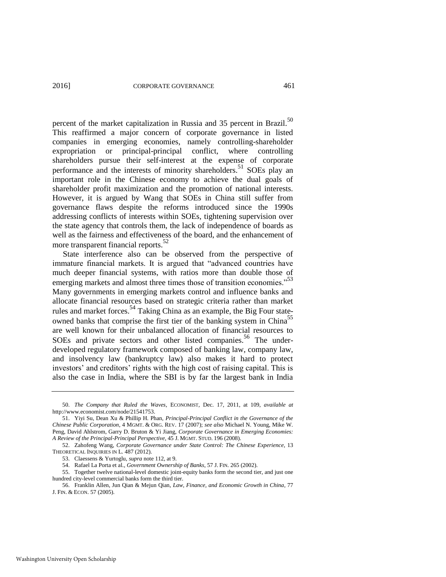percent of the market capitalization in Russia and 35 percent in Brazil.<sup>50</sup> This reaffirmed a major concern of corporate governance in listed companies in emerging economies, namely controlling-shareholder expropriation or principal-principal conflict, where controlling shareholders pursue their self-interest at the expense of corporate performance and the interests of minority shareholders.<sup>51</sup> SOEs play an important role in the Chinese economy to achieve the dual goals of shareholder profit maximization and the promotion of national interests. However, it is argued by Wang that SOEs in China still suffer from governance flaws despite the reforms introduced since the 1990s addressing conflicts of interests within SOEs, tightening supervision over the state agency that controls them, the lack of independence of boards as well as the fairness and effectiveness of the board, and the enhancement of more transparent financial reports.<sup>52</sup>

State interference also can be observed from the perspective of immature financial markets. It is argued that "advanced countries have much deeper financial systems, with ratios more than double those of emerging markets and almost three times those of transition economies."<sup>53</sup> Many governments in emerging markets control and influence banks and allocate financial resources based on strategic criteria rather than market rules and market forces.<sup>54</sup> Taking China as an example, the Big Four stateowned banks that comprise the first tier of the banking system in China<sup>55</sup> are well known for their unbalanced allocation of financial resources to SOEs and private sectors and other listed companies.<sup>56</sup> The underdeveloped regulatory framework composed of banking law, company law, and insolvency law (bankruptcy law) also makes it hard to protect investors' and creditors' rights with the high cost of raising capital. This is also the case in India, where the SBI is by far the largest bank in India

<sup>50.</sup> *The Company that Ruled the Waves*, ECONOMIST, Dec. 17, 2011, at 109, *available at* [http://www.economist.com/node/21541753.](http://www.economist.com/node/21541753)

<sup>51.</sup> Yiyi Su, Dean Xu & Phillip H. Phan, *Principal-Principal Conflict in the Governance of the Chinese Public Corporation*, 4 MGMT. & ORG. REV. 17 (2007); *see also* Michael N. Young, Mike W. Peng, David Ahlstrom, Garry D. Bruton & Yi Jiang, *Corporate Governance in Emerging Economies: A Review of the Principal-Principal Perspective*, 45 J. MGMT. STUD. 196 (2008).

<sup>52.</sup> Zahofeng Wang, *Corporate Governance under State Control: The Chinese Experience*, 13 THEORETICAL INQUIRIES IN L. 487 (2012).

<sup>53.</sup> Claessens & Yurtoglu, *supra* not[e 112,](#page-28-0) at 9.

<sup>54.</sup> Rafael La Porta et al., *Government Ownership of Banks*, 57 J. FIN. 265 (2002).

<sup>55.</sup> Together twelve national-level domestic joint-equity banks form the second tier, and just one hundred city-level commercial banks form the third tier.

<sup>56.</sup> Franklin Allen, Jun Qian & Mejun Qian, *Law, Finance, and Economic Growth in China*, 77 J. FIN. & ECON. 57 (2005).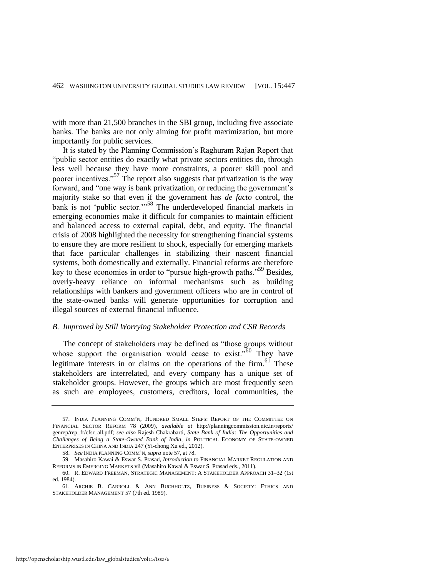with more than 21,500 branches in the SBI group, including five associate banks. The banks are not only aiming for profit maximization, but more importantly for public services.

<span id="page-16-0"></span>It is stated by the Planning Commission's Raghuram Rajan Report that "public sector entities do exactly what private sectors entities do, through less well because they have more constraints, a poorer skill pool and poorer incentives."<sup>57</sup> The report also suggests that privatization is the way forward, and "one way is bank privatization, or reducing the government's majority stake so that even if the government has *de facto* control, the bank is not 'public sector."<sup>58</sup> The underdeveloped financial markets in emerging economies make it difficult for companies to maintain efficient and balanced access to external capital, debt, and equity. The financial crisis of 2008 highlighted the necessity for strengthening financial systems to ensure they are more resilient to shock, especially for emerging markets that face particular challenges in stabilizing their nascent financial systems, both domestically and externally. Financial reforms are therefore key to these economies in order to "pursue high-growth paths."<sup>59</sup> Besides, overly-heavy reliance on informal mechanisms such as building relationships with bankers and government officers who are in control of the state-owned banks will generate opportunities for corruption and illegal sources of external financial influence.

#### *B. Improved by Still Worrying Stakeholder Protection and CSR Records*

The concept of stakeholders may be defined as "those groups without whose support the organisation would cease to exist.<sup> $50$ </sup> They have legitimate interests in or claims on the operations of the firm. $61$  These stakeholders are interrelated, and every company has a unique set of stakeholder groups. However, the groups which are most frequently seen as such are employees, customers, creditors, local communities, the

<sup>57.</sup> INDIA PLANNING COMM'N, HUNDRED SMALL STEPS: REPORT OF THE COMMITTEE ON FINANCIAL SECTOR REFORM 78 (2009), *available at* [http://planningcommission.nic.in/reports/](http://planningcommission.nic.in/reports/genrep/rep_fr/cfsr_all.pdf)  [genrep/rep\\_fr/cfsr\\_all.pdf;](http://planningcommission.nic.in/reports/genrep/rep_fr/cfsr_all.pdf) *see also* Rajesh Chakrabarti, *State Bank of India: The Opportunities and Challenges of Being a State-Owned Bank of India*, *in* POLITICAL ECONOMY OF STATE-OWNED ENTERPRISES IN CHINA AND INDIA 247 (Yi-chong Xu ed., 2012).

<sup>58.</sup> *See* INDIA PLANNING COMM'N, *supra* not[e 57,](#page-16-0) at 78.

<sup>59.</sup> Masahiro Kawai & Eswar S. Prasad, *Introduction to* FINANCIAL MARKET REGULATION AND REFORMS IN EMERGING MARKETS vii (Masahiro Kawai & Eswar S. Prasad eds., 2011).

<sup>60.</sup> R. EDWARD FREEMAN, STRATEGIC MANAGEMENT: A STAKEHOLDER APPROACH 31–32 (1st ed. 1984).

<sup>61.</sup> ARCHIE B. CARROLL & ANN BUCHHOLTZ, BUSINESS & SOCIETY: ETHICS AND STAKEHOLDER MANAGEMENT 57 (7th ed. 1989).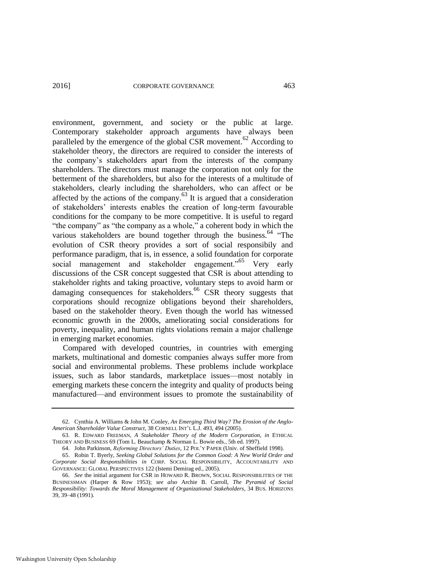environment, government, and society or the public at large. Contemporary stakeholder approach arguments have always been paralleled by the emergence of the global CSR movement.<sup>62</sup> According to stakeholder theory, the directors are required to consider the interests of the company's stakeholders apart from the interests of the company shareholders. The directors must manage the corporation not only for the betterment of the shareholders, but also for the interests of a multitude of stakeholders, clearly including the shareholders, who can affect or be affected by the actions of the company.<sup>63</sup> It is argued that a consideration of stakeholders' interests enables the creation of long-term favourable conditions for the company to be more competitive. It is useful to regard "the company" as "the company as a whole," a coherent body in which the various stakeholders are bound together through the business.<sup>64</sup> "The evolution of CSR theory provides a sort of social responsibily and performance paradigm, that is, in essence, a solid foundation for corporate social management and stakeholder engagement.<sup>55</sup> Very early discussions of the CSR concept suggested that CSR is about attending to stakeholder rights and taking proactive, voluntary steps to avoid harm or damaging consequences for stakeholders.<sup>66</sup> CSR theory suggests that corporations should recognize obligations beyond their shareholders, based on the stakeholder theory. Even though the world has witnessed economic growth in the 2000s, ameliorating social considerations for poverty, inequality, and human rights violations remain a major challenge in emerging market economies.

Compared with developed countries, in countries with emerging markets, multinational and domestic companies always suffer more from social and environmental problems. These problems include workplace issues, such as labor standards, marketplace issues—most notably in emerging markets these concern the integrity and quality of products being manufactured—and environment issues to promote the sustainability of

<sup>62.</sup> Cynthia A. Williams & John M. Conley, *An Emerging Third Way? The Erosion of the Anglo-American Shareholder Value Construct*, 38 CORNELL INT'L L.J. 493, 494 (2005).

<sup>63.</sup> R. EDWARD FREEMAN, *A Stakeholder Theory of the Modern Corporation, in* ETHICAL THEORY AND BUSINESS 69 (Tom L. Beauchamp & Norman L. Bowie eds., 5th ed. 1997).

<sup>64.</sup> John Parkinson, *Reforming Directors' Duties*, 12 POL'Y PAPER (Univ. of Sheffield 1998).

<sup>65.</sup> Robin T. Byerly, *Seeking Global Solutions for the Common Good: A New World Order and Corporate Social Responsibilities in* CORP. SOCIAL RESPONSIBILITY, ACCOUNTABILITY AND GOVERNANCE: GLOBAL PERSPECTIVES 122 (Istemi Demirag ed., 2005).

<sup>66.</sup> *See* the initial argument for CSR in HOWARD R. BROWN, SOCIAL RESPONSIBILITIES OF THE BUSINESSMAN (Harper & Row 1953); *see also* Archie B. Carroll, *The Pyramid of Social Responsibility: Towards the Moral Management of Organizational Stakeholders*, 34 BUS. HORIZONS 39, 39–48 (1991).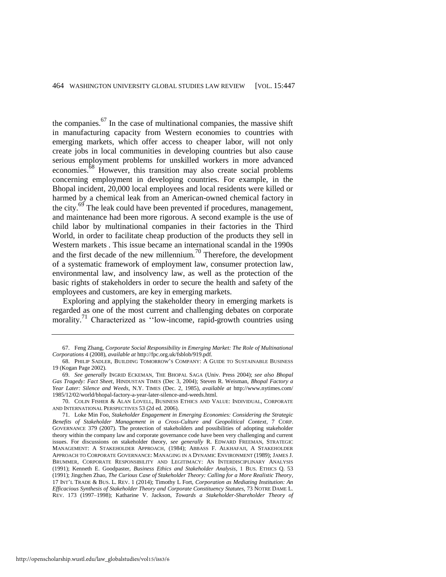the companies. $67$  In the case of multinational companies, the massive shift in manufacturing capacity from Western economies to countries with emerging markets, which offer access to cheaper labor, will not only create jobs in local communities in developing countries but also cause serious employment problems for unskilled workers in more advanced economies.<sup>68</sup> However, this transition may also create social problems concerning employment in developing countries. For example, in the Bhopal incident, 20,000 local employees and local residents were killed or harmed by a chemical leak from an American-owned chemical factory in the city.<sup>69</sup> The leak could have been prevented if procedures, management, and maintenance had been more rigorous. A second example is the use of child labor by multinational companies in their factories in the Third World, in order to facilitate cheap production of the products they sell in Western markets . This issue became an international scandal in the 1990s and the first decade of the new millennium.<sup>70</sup> Therefore, the development of a systematic framework of employment law, consumer protection law, environmental law, and insolvency law, as well as the protection of the basic rights of stakeholders in order to secure the health and safety of the employees and customers, are key in emerging markets.

<span id="page-18-0"></span>Exploring and applying the stakeholder theory in emerging markets is regarded as one of the most current and challenging debates on corporate morality.<sup>71</sup> Characterized as "low-income, rapid-growth countries using

<sup>67.</sup> Feng Zhang, *Corporate Social Responsibility in Emerging Market: The Role of Multinational Corporations* 4 (2008), *available at* http://fpc.org.uk/fsblob/919.pdf.

<sup>68.</sup> PHILIP SADLER, BUILDING TOMORROW'S COMPANY: A GUIDE TO SUSTAINABLE BUSINESS 19 (Kogan Page 2002).

<sup>69.</sup> *See generally* INGRID ECKEMAN, THE BHOPAL SAGA (Univ. Press 2004); *see also Bhopal Gas Tragedy: Fact Sheet*, HINDUSTAN TIMES (Dec 3, 2004); Steven R. Weisman, *Bhopal Factory a Year Later: Silence and Weeds*, N.Y. TIMES (Dec. 2, 1985), *available at* http://www.nytimes.com/ 1985/12/02/world/bhopal-factory-a-year-later-silence-and-weeds.html.

<sup>70.</sup> COLIN FISHER & ALAN LOVELL, BUSINESS ETHICS AND VALUE: INDIVIDUAL, CORPORATE AND INTERNATIONAL PERSPECTIVES 53 (2d ed. 2006).

<sup>71.</sup> Loke Min Foo, *Stakeholder Engagement in Emerging Economies: Considering the Strategic Benefits of Stakeholder Management in a Cross-Culture and Geopolitical Context*, 7 CORP. GOVERNANCE 379 (2007). The protection of stakeholders and possibilities of adopting stakeholder theory within the company law and corporate governance code have been very challenging and current issues. For discussions on stakeholder theory, *see generally* R. EDWARD FREEMAN, STRATEGIC MANAGEMENT: A STAKEHOLDER APPROACH, (1984); ABBASS F. ALKHAFAJI, A STAKEHOLDER APPROACH TO CORPORATE GOVERNANCE: MANAGING IN A DYNAMIC ENVIRONMENT (1989); JAMES J. BRUMMER*,* CORPORATE RESPONSIBILITY AND LEGITIMACY: AN INTERDISCIPLINARY ANALYSIS (1991); Kenneth E. Goodpaster, *Business Ethics and Stakeholder Analysis*, 1 BUS. ETHICS Q. 53 (1991); Jingchen Zhao, *The Curious Case of Stakeholder Theory: Calling for a More Realistic Theory*, 17 INT'L TRADE & BUS. L. REV. 1 (2014); Timothy L Fort, *Corporation as Mediating Institution: An Efficacious Synthesis of Stakeholder Theory and Corporate Constituency Statutes*, 73 NOTRE DAME L. REV. 173 (1997–1998); Katharine V. Jackson, *Towards a Stakeholder-Shareholder Theory of*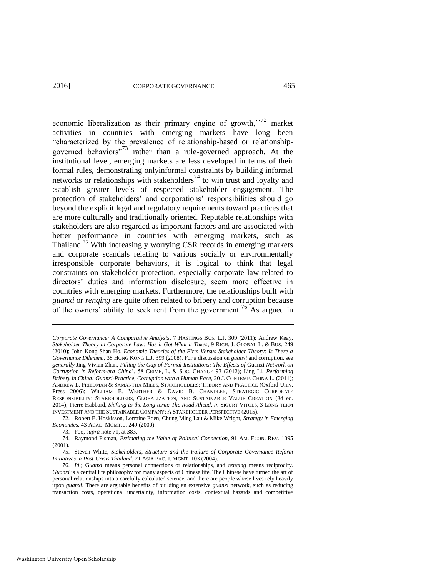economic liberalization as their primary engine of growth,<sup> $172$ </sup> market activities in countries with emerging markets have long been "characterized by the prevalence of relationship-based or relationshipgoverned behaviors<sup>"73</sup> rather than a rule-governed approach. At the institutional level, emerging markets are less developed in terms of their formal rules, demonstrating onlyinformal constraints by building informal networks or relationships with stakeholders<sup>74</sup> to win trust and loyalty and establish greater levels of respected stakeholder engagement. The protection of stakeholders' and corporations' responsibilities should go beyond the explicit legal and regulatory requirements toward practices that are more culturally and traditionally oriented. Reputable relationships with stakeholders are also regarded as important factors and are associated with better performance in countries with emerging markets, such as Thailand.<sup>75</sup> With increasingly worrying CSR records in emerging markets and corporate scandals relating to various socially or environmentally irresponsible corporate behaviors, it is logical to think that legal constraints on stakeholder protection, especially corporate law related to directors' duties and information disclosure, seem more effective in countries with emerging markets. Furthermore, the relationships built with *guanxi* or *renqing* are quite often related to bribery and corruption because of the owners' ability to seek rent from the government.76 As argued in

*Corporate Governance: A Comparative Analysis*, 7 HASTINGS BUS. L.J. 309 (2011); Andrew Keay, *Stakeholder Theory in Corporate Law: Has it Got What it Takes*, 9 RICH. J. GLOBAL L. & BUS. 249 (2010); John Kong Shan Ho, *Economic Theories of the Firm Versus Stakeholder Theory: Is There a Governance Dilemma*, 38 HONG KONG L.J. 399 (2008). For a discussion on *guanxi* and corruption, see *generally* Jing Vivian Zhan, *Filling the Gap of Formal Institutions: The Effects of* Guanxi *Network on Corruption in Reform-era China*', 58 CRIME, L. & SOC. CHANGE 93 (2012); Ling Li, *Performing Bribery in China: Guanxi-Practice, Corruption with a Human Face*, 20 J. CONTEMP. CHINA L. (2011); ANDREW L. FRIEDMAN & SAMANTHA MILES, STAKEHOLDERS: THEORY AND PRACTICE (Oxford Univ. Press 2006); WILLIAM B. WERTHER & DAVID B. CHANDLER, STRATEGIC CORPORATE RESPONSIBILITY: STAKEHOLDERS, GLOBALIZATION, AND SUSTAINABLE VALUE CREATION (3d ed. 2014); Pierre Habbard, *Shifting to the Long-term: The Road Ahead*, *in* SIGURT VITOLS, 3 LONG-TERM INVESTMENT AND THE SUSTAINABLE COMPANY: A STAKEHOLDER PERSPECTIVE (2015).

<sup>72.</sup> Robert E. Hoskisson, Lorraine Eden, Chung Ming Lau & Mike Wright, *Strategy in Emerging Economies*, 43 ACAD. MGMT. J. 249 (2000).

<sup>73.</sup> Foo, *supra* not[e 71,](#page-18-0) at 383.

<sup>74.</sup> Raymond Fisman, *Estimating the Value of Political Connection*, 91 AM. ECON. REV. 1095 (2001).

<sup>75.</sup> Steven White, *Stakeholders, Structure and the Failure of Corporate Governance Reform Initiatives in Post-Crisis Thailand*, 21 ASIA PAC. J. MGMT. 103 (2004).

<sup>76.</sup> *Id.*; G*uanxi* means personal connections or relationships, and *renqing* means reciprocity. *Guanxi* is a central life philosophy for many aspects of Chinese life. The Chinese have turned the art of personal relationships into a carefully calculated science, and there are people whose lives rely heavily upon *guanxi*. There are arguable benefits of building an extensive *guanxi* network, such as reducing transaction costs, operational uncertainty, information costs, contextual hazards and competitive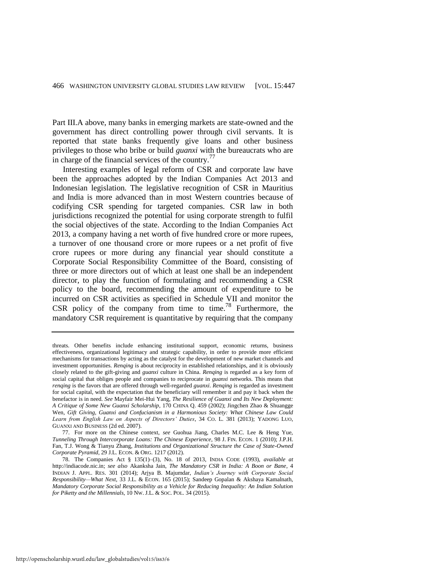Part III.A above, many banks in emerging markets are state-owned and the government has direct controlling power through civil servants. It is reported that state banks frequently give loans and other business privileges to those who bribe or build *guanxi* with the bureaucrats who are in charge of the financial services of the country.<sup>77</sup>

Interesting examples of legal reform of CSR and corporate law have been the approaches adopted by the Indian Companies Act 2013 and Indonesian legislation. The legislative recognition of CSR in Mauritius and India is more advanced than in most Western countries because of codifying CSR spending for targeted companies. CSR law in both jurisdictions recognized the potential for using corporate strength to fulfil the social objectives of the state. According to the Indian Companies Act 2013, a company having a net worth of five hundred crore or more rupees, a turnover of one thousand crore or more rupees or a net profit of five crore rupees or more during any financial year should constitute a Corporate Social Responsibility Committee of the Board, consisting of three or more directors out of which at least one shall be an independent director, to play the function of formulating and recommending a CSR policy to the board, recommending the amount of expenditure to be incurred on CSR activities as specified in Schedule VII and monitor the CSR policy of the company from time to time.78 Furthermore, the mandatory CSR requirement is quantitative by requiring that the company

77. For more on the Chinese context, *see* Guohua Jiang, Charles M.C. Lee & Heng Yue, *Tunneling Through Intercorporate Loans: The Chinese Experience*, 98 J. FIN. ECON. 1 (2010); J.P.H. Fan, T.J. Wong & Tianyu Zhang, *Institutions and Organizational Structure the Case of State-Owned Corporate Pyramid*, 29 J.L. ECON. & ORG. 1217 (2012).

threats. Other benefits include enhancing institutional support, economic returns, business effectiveness, organizational legitimacy and strategic capability, in order to provide more efficient mechanisms for transactions by acting as the catalyst for the development of new market channels and investment opportunities. *Renqing* is about reciprocity in established relationships, and it is obviously closely related to the gift-giving and *guanxi* culture in China. *Renqing* is regarded as a key form of social capital that obliges people and companies to reciprocate in *guanxi* networks. This means that *renqing* is the favors that are offered through well-regarded *guanxi. Renqing* is regarded as investment for social capital, with the expectation that the beneficiary will remember it and pay it back when the benefactor is in need. *See* Mayfair Mei-Hui Yang, *The Resilience of Guanxi and Its New Deployment: A Critique of Some New Guanxi Scholarship*, 170 CHINA Q. 459 (2002); Jingchen Zhao & Shuangge Wen, *Gift Giving, Guanxi and Confucianism in a Harmonious Society: What Chinese Law Could Learn from English Law on Aspects of Directors' Duties*, 34 CO. L. 381 (2013); YADONG LUO, GUANXI AND BUSINESS (2d ed. 2007).

<sup>78.</sup> The Companies Act § 135(1)–(3), No. 18 of 2013, INDIA CODE (1993), *available at* http://indiacode.nic.in; *see also* Akanksha Jain, *The Mandatory CSR in India: A Boon or Bane*, 4 INDIAN J. APPL. RES. 301 (2014); Arjya B. Majumdar, *Indian's Journey with Corporate Social Responsibility—What Next*, 33 J.L. & ECON. 165 (2015); Sandeep Gopalan & Akshaya Kamalnath, *Mandatory Corporate Social Responsibility as a Vehicle for Reducing Inequality: An Indian Solution for Piketty and the Millennials*, 10 NW. J.L. & SOC. POL. 34 (2015).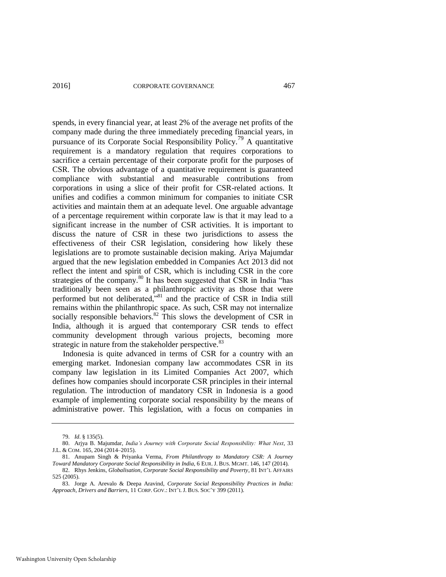spends, in every financial year, at least 2% of the average net profits of the company made during the three immediately preceding financial years, in pursuance of its Corporate Social Responsibility Policy.79 A quantitative requirement is a mandatory regulation that requires corporations to sacrifice a certain percentage of their corporate profit for the purposes of CSR. The obvious advantage of a quantitative requirement is guaranteed compliance with substantial and measurable contributions from corporations in using a slice of their profit for CSR-related actions. It unifies and codifies a common minimum for companies to initiate CSR activities and maintain them at an adequate level. One arguable advantage of a percentage requirement within corporate law is that it may lead to a significant increase in the number of CSR activities. It is important to discuss the nature of CSR in these two jurisdictions to assess the effectiveness of their CSR legislation, considering how likely these legislations are to promote sustainable decision making. Ariya Majumdar argued that the new legislation embedded in Companies Act 2013 did not reflect the intent and spirit of CSR, which is including CSR in the core strategies of the company.<sup>80</sup> It has been suggested that CSR in India "has traditionally been seen as a philanthropic activity as those that were performed but not deliberated,<sup>381</sup> and the practice of CSR in India still remains within the philanthropic space. As such, CSR may not internalize socially responsible behaviors. $82$  This slows the development of CSR in India, although it is argued that contemporary CSR tends to effect community development through various projects, becoming more strategic in nature from the stakeholder perspective.<sup>83</sup>

<span id="page-21-0"></span>Indonesia is quite advanced in terms of CSR for a country with an emerging market. Indonesian company law accommodates CSR in its company law legislation in its Limited Companies Act 2007, which defines how companies should incorporate CSR principles in their internal regulation. The introduction of mandatory CSR in Indonesia is a good example of implementing corporate social responsibility by the means of administrative power. This legislation, with a focus on companies in

<sup>79.</sup> *Id*. § 135(5).

<sup>80.</sup> Arjya B. Majumdar, *India's Journey with Corporate Social Responsibility: What Next*, 33 J.L. & COM. 165, 204 (2014–2015).

<sup>81.</sup> Anupam Singh & Priyanka Verma, *From Philanthropy to Mandatory CSR: A Journey Toward Mandatory Corporate Social Responsibility in India*, 6 EUR. J. BUS. MGMT. 146, 147 (2014).

<sup>82.</sup> Rhys Jenkins, *Globalisation, Corporate Social Responsibility and Poverty*, 81 INT'L AFFAIRS 525 (2005).

<sup>83.</sup> Jorge A. Arevalo & Deepa Aravind, *Corporate Social Responsibility Practices in India: Approach, Drivers and Barriers*, 11 CORP. GOV.: INT'L J. BUS. SOC'Y 399 (2011).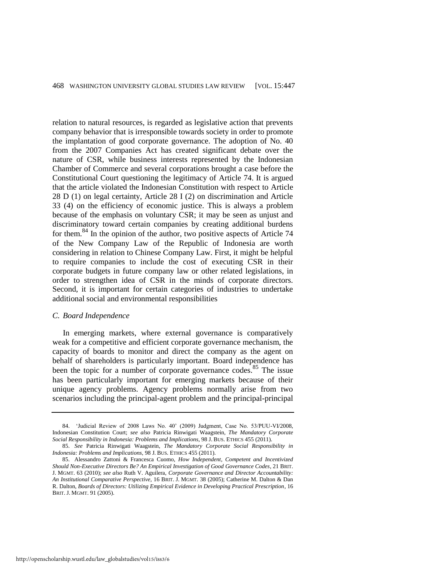relation to natural resources, is regarded as legislative action that prevents company behavior that is irresponsible towards society in order to promote the implantation of good corporate governance. The adoption of No. 40 from the 2007 Companies Act has created significant debate over the nature of CSR, while business interests represented by the Indonesian Chamber of Commerce and several corporations brought a case before the Constitutional Court questioning the legitimacy of Article 74. It is argued that the article violated the Indonesian Constitution with respect to Article 28 D (1) on legal certainty, Article 28 I (2) on discrimination and Article 33 (4) on the efficiency of economic justice. This is always a problem because of the emphasis on voluntary CSR; it may be seen as unjust and discriminatory toward certain companies by creating additional burdens for them.<sup>84</sup> In the opinion of the author, two positive aspects of Article 74 of the New Company Law of the Republic of Indonesia are worth considering in relation to Chinese Company Law. First, it might be helpful to require companies to include the cost of executing CSR in their corporate budgets in future company law or other related legislations, in order to strengthen idea of CSR in the minds of corporate directors. Second, it is important for certain categories of industries to undertake additional social and environmental responsibilities

#### *C. Board Independence*

<span id="page-22-0"></span>In emerging markets, where external governance is comparatively weak for a competitive and efficient corporate governance mechanism, the capacity of boards to monitor and direct the company as the agent on behalf of shareholders is particularly important. Board independence has been the topic for a number of corporate governance codes.<sup>85</sup> The issue has been particularly important for emerging markets because of their unique agency problems. Agency problems normally arise from two scenarios including the principal-agent problem and the principal-principal

<sup>84. &#</sup>x27;Judicial Review of 2008 Laws No. 40' (2009) Judgment, Case No. 53/PUU-VI/2008, Indonesian Constitution Court; *see also* Patricia Rinwigati Waagstein, *The Mandatory Corporate Social Responsibility in Indonesia: Problems and Implications*, 98 J. BUS. ETHICS 455 (2011).

<sup>85.</sup> *See* Patricia Rinwigati Waagstein, *The Mandatory Corporate Social Responsibility in Indonesia: Problems and Implications*, 98 J. BUS. ETHICS 455 (2011).

<sup>85.</sup> Alessandro Zattoni & Francesca Cuomo, *How Independent, Competent and Incentivized Should Non-Executive Directors Be? An Empirical Investigation of Good Governance Codes*, 21 BRIT. J. MGMT. 63 (2010); *see also* Ruth V. Aguilera, *Corporate Governance and Director Accountability: An Institutional Comparative Perspective*, 16 BRIT. J. MGMT. 38 (2005); Catherine M. Dalton & Dan R. Dalton, *Boards of Directors: Utilizing Empirical Evidence in Developing Practical Prescription*, 16 BRIT. J. MGMT. 91 (2005).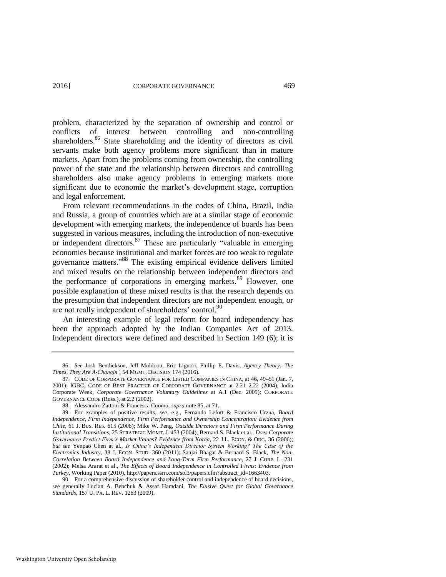problem, characterized by the separation of ownership and control or conflicts of interest between controlling and non-controlling shareholders.<sup>86</sup> State shareholding and the identity of directors as civil servants make both agency problems more significant than in mature markets. Apart from the problems coming from ownership, the controlling power of the state and the relationship between directors and controlling shareholders also make agency problems in emerging markets more significant due to economic the market's development stage, corruption and legal enforcement.

From relevant recommendations in the codes of China, Brazil, India and Russia, a group of countries which are at a similar stage of economic development with emerging markets, the independence of boards has been suggested in various measures, including the introduction of non-executive or independent directors.<sup>87</sup> These are particularly "valuable in emerging economies because institutional and market forces are too weak to regulate governance matters." <sup>88</sup> The existing empirical evidence delivers limited and mixed results on the relationship between independent directors and the performance of corporations in emerging markets.<sup>89</sup> However, one possible explanation of these mixed results is that the research depends on the presumption that independent directors are not independent enough, or are not really independent of shareholders' control.<sup>90</sup>

An interesting example of legal reform for board independency has been the approach adopted by the Indian Companies Act of 2013. Independent directors were defined and described in Section 149 (6); it is

<sup>86.</sup> *See* Josh Bendickson, Jeff Muldoon, Eric Liguori, Phillip E. Davis, *Agency Theory: The Times, They Are A-Changin'*, 54 MGMT. DECISION 174 (2016).

<sup>87.</sup> CODE OF CORPORATE GOVERNANCE FOR LISTED COMPANIES IN CHINA, at 46, 49–51 (Jan. 7, 2001); IGBC, CODE OF BEST PRACTICE OF CORPORATE GOVERNANCE at 2.21–2.22 (2004); India Corporate Week, *Corporate Governance Voluntary Guidelines* at A.1 (Dec. 2009); CORPORATE GOVERNANCE CODE (Russ.), at 2.2 (2002).

<sup>88.</sup> Alessandro Zattoni & Francesca Cuomo, *supra* not[e 85,](#page-22-0) at 71.

<sup>89.</sup> For examples of positive results, *see*, e.g., Fernando Lefort & Francisco Urzua, *Board Independence, Firm Independence, Firm Performance and Ownership Concentration: Evidence from Chile*, 61 J. BUS. RES. 615 (2008); Mike W. Peng, *Outside Directors and Firm Performance During Institutional Transitions*, 25 STRATEGIC MGMT. J. 453 (2004); Bernard S. Black et al., *Does Corporate Governance Predict Firm's Market Values? Evidence from Korea*, 22 J.L. ECON. & ORG. 36 (2006); *but see* Yenpao Chen at al., *Is China's Independent Director System Working? The Case of the Electronics Industry*, 38 J. ECON. STUD. 360 (2011); Sanjai Bhagat & Bernard S. Black, *The Non-Correlation Between Board Independence and Long-Term Firm Performance*, 27 J. CORP. L. 231 (2002); Melsa Ararat et al., *The Effects of Board Independence in Controlled Firms: Evidence from Turkey*, Working Paper (2010)[, http://papers.ssrn.com/sol3/papers.cfm?abstract\\_id=1663403.](http://papers.ssrn.com/sol3/papers.cfm?abstract_id=1663403)

<sup>90.</sup> For a comprehensive discussion of shareholder control and independence of board decisions, see generally Lucian A. Bebchuk & Assaf Hamdani, *The Elusive Quest for Global Governance Standards*, 157 U. PA. L. REV. 1263 (2009).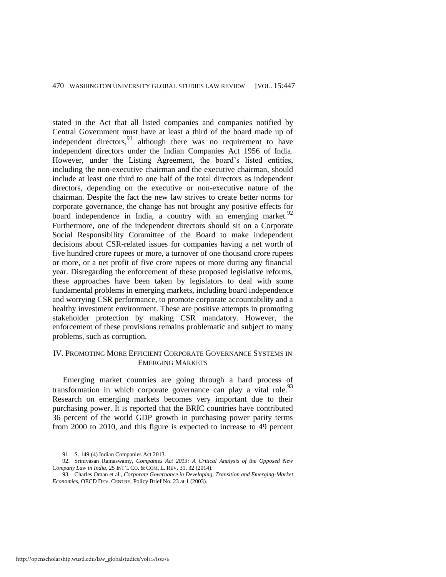stated in the Act that all listed companies and companies notified by Central Government must have at least a third of the board made up of independent directors,  $91$  although there was no requirement to have independent directors under the Indian Companies Act 1956 of India. However, under the Listing Agreement, the board's listed entities, including the non-executive chairman and the executive chairman, should include at least one third to one half of the total directors as independent directors, depending on the executive or non-executive nature of the chairman. Despite the fact the new law strives to create better norms for corporate governance, the change has not brought any positive effects for board independence in India, a country with an emerging market.<sup>92</sup> Furthermore, one of the independent directors should sit on a Corporate Social Responsibility Committee of the Board to make independent decisions about CSR-related issues for companies having a net worth of five hundred crore rupees or more, a turnover of one thousand crore rupees or more, or a net profit of five crore rupees or more during any financial year. Disregarding the enforcement of these proposed legislative reforms, these approaches have been taken by legislators to deal with some fundamental problems in emerging markets, including board independence and worrying CSR performance, to promote corporate accountability and a healthy investment environment. These are positive attempts in promoting stakeholder protection by making CSR mandatory. However, the enforcement of these provisions remains problematic and subject to many problems, such as corruption.

# IV. PROMOTING MORE EFFICIENT CORPORATE GOVERNANCE SYSTEMS IN EMERGING MARKETS

Emerging market countries are going through a hard process of transformation in which corporate governance can play a vital role.<sup>93</sup> Research on emerging markets becomes very important due to their purchasing power. It is reported that the BRIC countries have contributed 36 percent of the world GDP growth in purchasing power parity terms from 2000 to 2010, and this figure is expected to increase to 49 percent

<sup>91.</sup> S. 149 (4) Indian Companies Act 2013.

<sup>92.</sup> Srinivasan Ramaswamy, *Companies Act 2013: A Critical Analysis of the Opposed New Company Law in India*, 25 INT'L CO. & COM. L. REV. 31, 32 (2014).

<sup>93.</sup> Charles Oman et al., *Corporate Governance in Developing, Transition and Emerging-Market Economies*, OECD DEV. CENTRE, Policy Brief No. 23 at 1 (2003).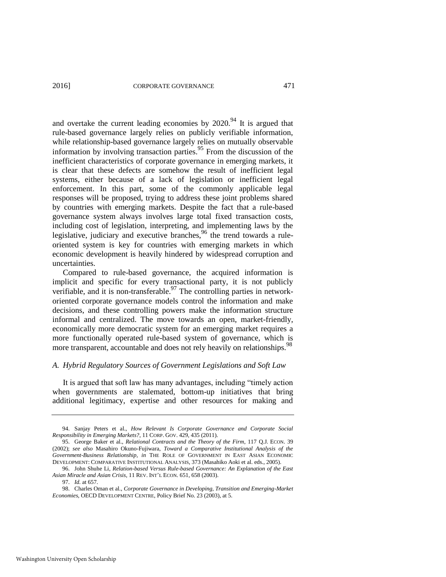and overtake the current leading economies by  $2020^{94}$  It is argued that rule-based governance largely relies on publicly verifiable information, while relationship-based governance largely relies on mutually observable information by involving transaction parties.<sup>95</sup> From the discussion of the inefficient characteristics of corporate governance in emerging markets, it is clear that these defects are somehow the result of inefficient legal systems, either because of a lack of legislation or inefficient legal enforcement. In this part, some of the commonly applicable legal responses will be proposed, trying to address these joint problems shared by countries with emerging markets. Despite the fact that a rule-based governance system always involves large total fixed transaction costs, including cost of legislation, interpreting, and implementing laws by the legislative, judiciary and executive branches,<sup>96</sup> the trend towards a ruleoriented system is key for countries with emerging markets in which economic development is heavily hindered by widespread corruption and uncertainties.

Compared to rule-based governance, the acquired information is implicit and specific for every transactional party, it is not publicly verifiable, and it is non-transferable.<sup>97</sup> The controlling parties in networkoriented corporate governance models control the information and make decisions, and these controlling powers make the information structure informal and centralized. The move towards an open, market-friendly, economically more democratic system for an emerging market requires a more functionally operated rule-based system of governance, which is more transparent, accountable and does not rely heavily on relationships.<sup>98</sup>

#### *A. Hybrid Regulatory Sources of Government Legislations and Soft Law*

It is argued that soft law has many advantages, including "timely action when governments are stalemated, bottom-up initiatives that bring additional legitimacy, expertise and other resources for making and

<sup>94.</sup> Sanjay Peters et al., *How Relevant Is Corporate Governance and Corporate Social Responsibility in Emerging Markets?*, 11 CORP. GOV. 429, 435 (2011).

<sup>95.</sup> George Baker et al., *Relational Contracts and the Theory of the Firm*, 117 Q.J. ECON. 39 (2002); *see also* Masahiro Okuno-Fujiwara, *Toward a Comparative Institutional Analysis of the Government-Business Relationship*, *in* THE ROLE OF GOVERNMENT IN EAST ASIAN ECONOMIC DEVELOPMENT: COMPARATIVE INSTITUTIONAL ANALYSIS, 373 (Masahiko Aoki et al. eds., 2005).

<sup>96.</sup> John Shuhe Li, *Relation-based Versus Rule-based Governance: An Explanation of the East Asian Miracle and Asian Crisis*, 11 REV. INT'L ECON. 651, 658 (2003).

<sup>97.</sup> *Id.* at 657.

<sup>98.</sup> Charles Oman et al., *Corporate Governance in Developing, Transition and Emerging-Market Economies*, OECD DEVELOPMENT CENTRE, Policy Brief No. 23 (2003), at 5.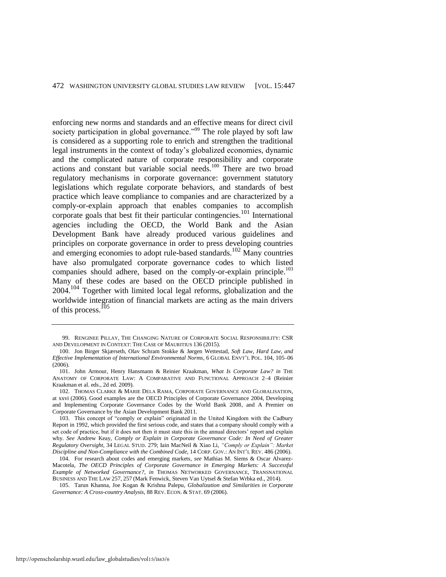enforcing new norms and standards and an effective means for direct civil society participation in global governance."<sup>99</sup> The role played by soft law is considered as a supporting role to enrich and strengthen the traditional legal instruments in the context of today's globalized economies, dynamic and the complicated nature of corporate responsibility and corporate actions and constant but variable social needs.<sup>100</sup> There are two broad regulatory mechanisms in corporate governance: government statutory legislations which regulate corporate behaviors, and standards of best practice which leave compliance to companies and are characterized by a comply-or-explain approach that enables companies to accomplish corporate goals that best fit their particular contingencies.<sup>101</sup> International agencies including the OECD, the World Bank and the Asian Development Bank have already produced various guidelines and principles on corporate governance in order to press developing countries and emerging economies to adopt rule-based standards.<sup>102</sup> Many countries have also promulgated corporate governance codes to which listed companies should adhere, based on the comply-or-explain principle.<sup>103</sup> Many of these codes are based on the OECD principle published in  $2004$ <sup> $104$ </sup> Together with limited local legal reforms, globalization and the worldwide integration of financial markets are acting as the main drivers of this process.<sup>105</sup>

<sup>99.</sup> RENGINEE PILLAY, THE CHANGING NATURE OF CORPORATE SOCIAL RESPONSIBILITY: CSR AND DEVELOPMENT IN CONTEXT: THE CASE OF MAURITIUS 136 (2015).

<sup>100.</sup> Jon Birger Skjærseth, Olav Schram Stokke & Jørgen Wettestad*, Soft Law, Hard Law, and Effective Implementation of International Environmental Norms*, 6 GLOBAL ENVT'L POL. 104, 105–06 (2006).

<sup>101.</sup> John Armour, Henry Hansmann & Reinier Kraakman, *What Is Corporate Law? in* THE ANATOMY OF CORPORATE LAW: A COMPARATIVE AND FUNCTIONAL APPROACH 2–4 (Reinier Kraakman et al. eds., 2d ed. 2009).

<sup>102.</sup> THOMAS CLARKE & MARIE DELA RAMA, CORPORATE GOVERNANCE AND GLOBALISATION, at xxvi (2006). Good examples are the OECD Principles of Corporate Governance 2004, Developing and Implementing Corporate Governance Codes by the World Bank 2008, and A Premier on Corporate Governance by the Asian Development Bank 2011.

<sup>103.</sup> This concept of "comply or explain" originated in the United Kingdom with the Cadbury Report in 1992, which provided the first serious code, and states that a company should comply with a set code of practice, but if it does not then it must state this in the annual directors' report and explain why. *See* Andrew Keay, *Comply or Explain in Corporate Governance Code: In Need of Greater Regulatory Oversight*, 34 LEGAL STUD. 279; Iain MacNeil & Xiao Li, *"Comply or Explain": Market Discipline and Non-Compliance with the Combined Code*, 14 CORP. GOV.: AN INT'L REV. 486 (2006).

<sup>104.</sup> For research about codes and emerging markets, *see* Mathias M. Siems & Oscar Alvarez-Macotela, *The OECD Principles of Corporate Governance in Emerging Markets: A Successful Example of Networked Governance?*, *in* THOMAS NETWORKED GOVERNANCE, TRANSNATIONAL BUSINESS AND THE LAW 257, 257 (Mark Fenwick, Steven Van Uytsel & Stefan Wrbka ed., 2014).

<sup>105.</sup> Tarun Khanna, Joe Kogan & Krishna Palepu, *Globalization and Similarities in Corporate Governance: A Cross-country Analysis*, 88 REV. ECON. & STAT. 69 (2006).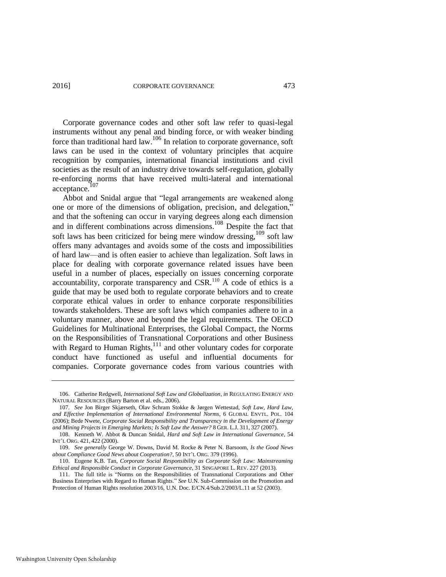Corporate governance codes and other soft law refer to quasi-legal instruments without any penal and binding force, or with weaker binding force than traditional hard law.106 In relation to corporate governance, soft laws can be used in the context of voluntary principles that acquire recognition by companies, international financial institutions and civil societies as the result of an industry drive towards self-regulation, globally re-enforcing norms that have received multi-lateral and international acceptance.<sup>107</sup>

Abbot and Snidal argue that "legal arrangements are weakened along one or more of the dimensions of obligation, precision, and delegation," and that the softening can occur in varying degrees along each dimension and in different combinations across dimensions.108 Despite the fact that soft laws has been criticized for being mere window dressing,<sup>109</sup> soft law offers many advantages and avoids some of the costs and impossibilities of hard law—and is often easier to achieve than legalization. Soft laws in place for dealing with corporate governance related issues have been useful in a number of places, especially on issues concerning corporate  $\alpha$  accountability, corporate transparency and CSR.<sup>110</sup> A code of ethics is a guide that may be used both to regulate corporate behaviors and to create corporate ethical values in order to enhance corporate responsibilities towards stakeholders. These are soft laws which companies adhere to in a voluntary manner, above and beyond the legal requirements. The OECD Guidelines for Multinational Enterprises, the Global Compact, the Norms on the Responsibilities of Transnational Corporations and other Business with Regard to Human Rights,<sup>111</sup> and other voluntary codes for corporate conduct have functioned as useful and influential documents for companies. Corporate governance codes from various countries with

<sup>106.</sup> Catherine Redgwell, *International Soft Law and Globalization*, *in* REGULATING ENERGY AND NATURAL RESOURCES (Barry Barton et al. eds., 2006).

<sup>107.</sup> *See* Jon Birger Skjærseth, Olav Schram Stokke & Jørgen Wettestad, *Soft Law, Hard Law, and Effective Implementation of International Environmental Norms*, 6 GLOBAL ENVTL. POL. 104 (2006); Bede Nwete, *Corporate Social Responsibility and Transparency in the Development of Energy and Mining Projects in Emerging Markets; Is Soft Law the Answer?* 8 GER. L.J. 311, 327 (2007).

<sup>108.</sup> Kenneth W. Abbot & Duncan Snidal, *Hard and Soft Law in International Governance*, 54 INT'L ORG. 421, 422 (2000).

<sup>109.</sup> *See generally* George W. Downs, David M. Rocke & Peter N. Barsoom, *Is the Good News about Compliance Good News about Cooperation?*, 50 INT'L ORG. 379 (1996).

<sup>110.</sup> Eugene K.B. Tan, *Corporate Social Responsibility as Corporate Soft Law: Mainstreaming Ethical and Responsible Conduct in Corporate Governance*, 31 SINGAPORE L. REV. 227 (2013).

<sup>111.</sup> The full title is "Norms on the Responsibilities of Transnational Corporations and Other Business Enterprises with Regard to Human Rights." *See* U.N. Sub-Commission on the Promotion and Protection of Human Rights resolution 2003/16, U.N. Doc. E/CN.4/Sub.2/2003/L.11 at 52 (2003).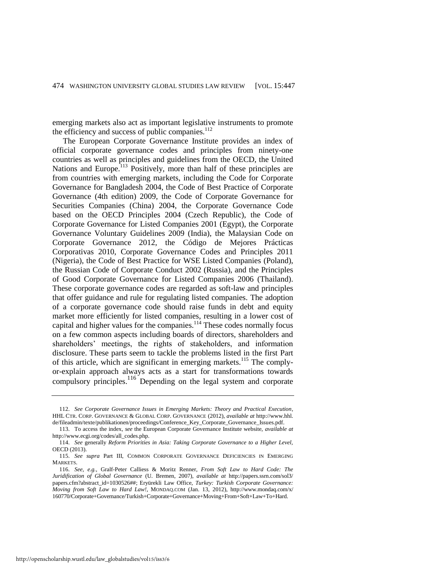<span id="page-28-0"></span>emerging markets also act as important legislative instruments to promote the efficiency and success of public companies. $112$ 

The European Corporate Governance Institute provides an index of official corporate governance codes and principles from ninety-one countries as well as principles and guidelines from the OECD, the United Nations and Europe.<sup>113</sup> Positively, more than half of these principles are from countries with emerging markets, including the Code for Corporate Governance for Bangladesh 2004, the Code of Best Practice of Corporate Governance (4th edition) 2009, the Code of Corporate Governance for Securities Companies (China) 2004, the Corporate Governance Code based on the OECD Principles 2004 (Czech Republic), the Code of Corporate Governance for Listed Companies 2001 (Egypt), the [Corporate](http://www.ecgi.org/codes/code.php?code_id=282)  [Governance Voluntary Guidelines 2009](http://www.ecgi.org/codes/code.php?code_id=282) (India), the [Malaysian Code on](http://www.ecgi.org/codes/code.php?code_id=369)  [Corporate Governance 2012,](http://www.ecgi.org/codes/code.php?code_id=369) the [Código de Mejores Prácticas](http://www.ecgi.org/codes/code.php?code_id=307)  [Corporativas 2010,](http://www.ecgi.org/codes/code.php?code_id=307) Corporate Governance Codes and Principles 2011 (Nigeria), the [Code of Best Practice for WSE Listed Companies](http://www.ecgi.org/codes/code.php?code_id=388) (Poland), [the Russian Code of Corporate Conduct](http://www.ecgi.org/codes/code.php?code_id=102) 2002 (Russia), and [the Principles](http://www.ecgi.org/codes/code.php?code_id=213)  [of Good Corporate Governance for Listed Companies 2006](http://www.ecgi.org/codes/code.php?code_id=213) (Thailand). These corporate governance codes are regarded as soft-law and principles that offer guidance and rule for regulating listed companies. The adoption of a corporate governance code should raise funds in debt and equity market more efficiently for listed companies, resulting in a lower cost of capital and higher values for the companies. $114$  These codes normally focus on a few common aspects including boards of directors, shareholders and shareholders' meetings, the rights of stakeholders, and information disclosure. These parts seem to tackle the problems listed in the first Part of this article, which are significant in emerging markets.<sup>115</sup> The complyor-explain approach always acts as a start for transformations towards compulsory principles.<sup>116</sup> Depending on the legal system and corporate

<sup>112.</sup> *See Corporate Governance Issues in Emerging Markets: Theory and Practical Execution*, HHL CTR. CORP. GOVERNANCE & GLOBAL CORP. GOVERNANCE (2012), *available at* [http://www.hhl.](http://www.hhl.de/fileadmin/texte/publikationen/proceedings/Conference_Key_Corporate_Governance_Issues.pdf)  [de/fileadmin/texte/publikationen/proceedings/Conference\\_Key\\_Corporate\\_Governance\\_Issues.pdf.](http://www.hhl.de/fileadmin/texte/publikationen/proceedings/Conference_Key_Corporate_Governance_Issues.pdf)

<sup>113.</sup> To access the index, *see* the European Corporate Governance Institute website, *available at*  http://www.ecgi.org/codes/all\_codes.php.

<sup>114.</sup> *See* generally *Reform Priorities in Asia: Taking Corporate Governance to a Higher Level,*  OECD (2013).

<sup>115.</sup> *See supra* Part III, COMMON CORPORATE GOVERNANCE DEFICIENCIES IN EMERGING MARKETS.

<sup>116.</sup> *See*, *e.g.*, Gralf-Peter Calliess & Moritz Renner, *From Soft Law to Hard Code: The Juridification of Global Governance* (U. Bremen, 2007), *available at* [http://papers.ssrn.com/sol3/](http://papers.ssrn.com/sol3/papers.cfm?abstract_id=1030526)  [papers.cfm?abstract\\_id=1030526##;](http://papers.ssrn.com/sol3/papers.cfm?abstract_id=1030526) Eryürekli Law Office, *Turkey: Turkish Corporate Governance: Moving from Soft Law to Hard Law!*, MONDAQ.COM (Jan. 13, 2012), [http://www.mondaq.com/x/](http://www.mondaq.com/x/160770/Corporate+Governance/Turkish+Corporate+Governance+Moving+From+Soft+Law+To+Hard)  [160770/Corporate+Governance/Turkish+Corporate+Governance+Moving+From+Soft+Law+To+Hard.](http://www.mondaq.com/x/160770/Corporate+Governance/Turkish+Corporate+Governance+Moving+From+Soft+Law+To+Hard)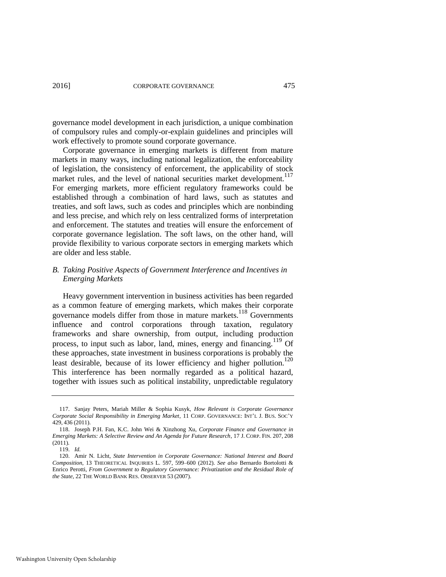governance model development in each jurisdiction, a unique combination of compulsory rules and comply-or-explain guidelines and principles will work effectively to promote sound corporate governance.

Corporate governance in emerging markets is different from mature markets in many ways, including national legalization, the enforceability of legislation, the consistency of enforcement, the applicability of stock market rules, and the level of national securities market development.<sup>117</sup> For emerging markets, more efficient regulatory frameworks could be established through a combination of hard laws, such as statutes and treaties, and soft laws, such as codes and principles which are nonbinding and less precise, and which rely on less centralized forms of interpretation and enforcement. The statutes and treaties will ensure the enforcement of corporate governance legislation. The soft laws, on the other hand, will provide flexibility to various corporate sectors in emerging markets which are older and less stable.

# *B. Taking Positive Aspects of Government Interference and Incentives in Emerging Markets*

Heavy government intervention in business activities has been regarded as a common feature of emerging markets, which makes their corporate governance models differ from those in mature markets.118 Governments influence and control corporations through taxation, regulatory frameworks and share ownership, from output, including production process, to input such as labor, land, mines, energy and financing.<sup>119</sup> Of these approaches, state investment in business corporations is probably the least desirable, because of its lower efficiency and higher pollution.<sup>120</sup> This interference has been normally regarded as a political hazard, together with issues such as political instability, unpredictable regulatory

<sup>117.</sup> Sanjay Peters, Mariah Miller & Sophia Kusyk, *How Relevant is Corporate Governance Corporate Social Responsibility in Emerging Market*, 11 CORP. GOVERNANCE: INT'L J. BUS. SOC'Y 429, 436 (2011).

<sup>118.</sup> Joseph P.H. Fan, K.C. John Wei & Xinzhong Xu, *Corporate Finance and Governance in Emerging Markets: A Selective Review and An Agenda for Future Research*, 17 J. CORP. FIN. 207, 208 (2011).

<sup>119.</sup> *Id.*

<sup>120.</sup> Amir N. Licht, *State Intervention in Corporate Governance: National Interest and Board Composition*, 13 THEORETICAL INQUIRIES L. 597, 599–600 (2012). *See also* Bernardo Bortolotti & Enrico Perotti, *From Government to Regulatory Governance: Privatization and the Residual Role of the State*, 22 THE WORLD BANK RES. OBSERVER 53 (2007).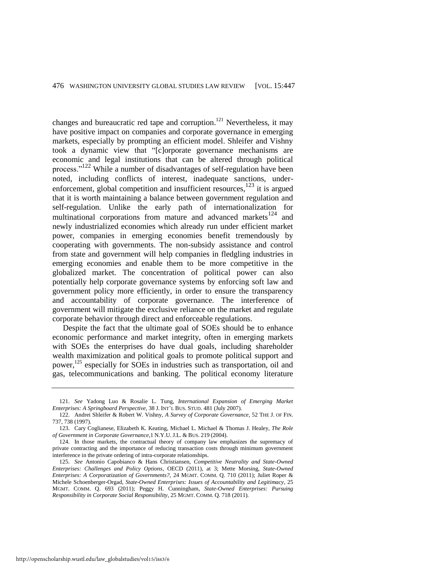<span id="page-30-0"></span>changes and bureaucratic red tape and corruption.<sup>121</sup> Nevertheless, it may have positive impact on companies and corporate governance in emerging markets, especially by prompting an efficient model. Shleifer and Vishny took a dynamic view that "[c]orporate governance mechanisms are economic and legal institutions that can be altered through political process."<sup>122</sup> While a number of disadvantages of self-regulation have been noted, including conflicts of interest, inadequate sanctions, underenforcement, global competition and insufficient resources, $123$  it is argued that it is worth maintaining a balance between government regulation and self-regulation. Unlike the early path of internationalization for multinational corporations from mature and advanced markets $124$  and newly industrialized economies which already run under efficient market power, companies in emerging economies benefit tremendously by cooperating with governments. The non-subsidy assistance and control from state and government will help companies in fledgling industries in emerging economies and enable them to be more competitive in the globalized market. The concentration of political power can also potentially help corporate governance systems by enforcing soft law and government policy more efficiently, in order to ensure the transparency and accountability of corporate governance. The interference of government will mitigate the exclusive reliance on the market and regulate corporate behavior through direct and enforceable regulations.

Despite the fact that the ultimate goal of SOEs should be to enhance economic performance and market integrity, often in emerging markets with SOEs the enterprises do have dual goals, including shareholder wealth maximization and political goals to promote political support and power,<sup>125</sup> especially for SOEs in industries such as transportation, oil and gas, telecommunications and banking. The political economy literature

<sup>121.</sup> *See* Yadong Luo & Rosalie L. Tung*, International Expansion of Emerging Market Enterprises: A Springboard Perspective*, 38 J. INT'L BUS. STUD. 481 (July 2007).

<sup>122.</sup> Andrei Shleifer & Robert W. Vishny, *A Survey of Corporate Governance*, 52 THE J. OF FIN. 737, 738 (1997).

<sup>123.</sup> Cary Coglianese, Elizabeth K. Keating, Michael L. Michael & Thomas J. Healey, *The Role of Government in Corporate Governance*,1 N.Y.U. J.L. & BUS. 219 (2004).

<sup>124.</sup> In those markets, the contractual theory of company law emphasizes the supremacy of private contracting and the importance of reducing transaction costs through minimum government interference in the private ordering of intra-corporate relationships.

<sup>125.</sup> *See* Antonio Capobianco & Hans Christiansen, *Competitive Neutrality and State-Owned Enterprises: Challenges and Policy Options*, OECD (2011), at 3; Mette Morsing, *State-Owned Enterprises: A Corporatization of Governments?*, 24 MGMT. COMM. Q. 710 (2011); Juliet Roper & Michele Schoenberger-Orgad, *State-Owned Enterprises: Issues of Accountability and Legitimacy*, 25 MGMT. COMM. Q. 693 (2011); Peggy H. Cunningham*, State-Owned Enterprises: Pursuing Responsibility in Corporate Social Responsibility*, 25 MGMT. COMM. Q. 718 (2011).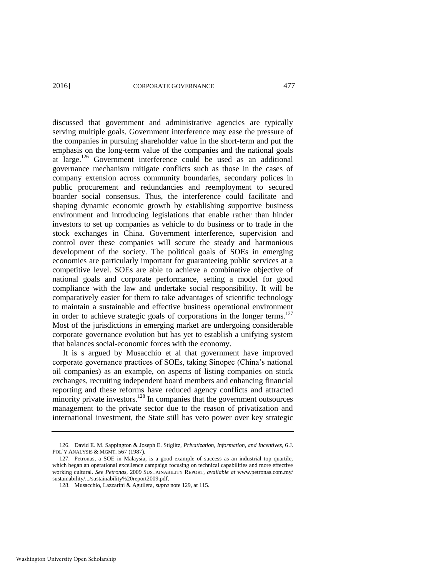<span id="page-31-0"></span>discussed that government and administrative agencies are typically serving multiple goals. Government interference may ease the pressure of the companies in pursuing shareholder value in the short-term and put the emphasis on the long-term value of the companies and the national goals at large.<sup>126</sup> Government interference could be used as an additional governance mechanism mitigate conflicts such as those in the cases of company extension across community boundaries, secondary polices in public procurement and redundancies and reemployment to secured boarder social consensus. Thus, the interference could facilitate and shaping dynamic economic growth by establishing supportive business environment and introducing legislations that enable rather than hinder investors to set up companies as vehicle to do business or to trade in the stock exchanges in China. Government interference, supervision and control over these companies will secure the steady and harmonious development of the society. The political goals of SOEs in emerging economies are particularly important for guaranteeing public services at a competitive level. SOEs are able to achieve a combinative objective of national goals and corporate performance, setting a model for good compliance with the law and undertake social responsibility. It will be comparatively easier for them to take advantages of scientific technology to maintain a sustainable and effective business operational environment in order to achieve strategic goals of corporations in the longer terms. $127$ Most of the jurisdictions in emerging market are undergoing considerable corporate governance evolution but has yet to establish a unifying system that balances social-economic forces with the economy.

It is s argued by Musacchio et al that government have improved corporate governance practices of SOEs, taking Sinopec (China's national oil companies) as an example, on aspects of listing companies on stock exchanges, recruiting independent board members and enhancing financial reporting and these reforms have reduced agency conflicts and attracted minority private investors. $128$  In companies that the government outsources management to the private sector due to the reason of privatization and international investment, the State still has veto power over key strategic

<sup>126.</sup> David E. M. Sappington & Joseph E. Stiglitz, *Privatization, Information, and Incentives*, 6 J. POL'Y ANALYSIS & MGMT. 567 (1987).

<sup>127.</sup> Petronas, a SOE in Malaysia, is a good example of success as an industrial top quartile, which began an operational excellence campaign focusing on technical capabilities and more effective working cultural. *See Petronas*, 2009 SUSTAINABILITY REPORT, *available at* [www.petronas.com.my/](http://www.petronas.com.my/sustainability/.../sustainability%20report2009.pdf)  [sustainability/.../sustainability%20report2009.pdf.](http://www.petronas.com.my/sustainability/.../sustainability%20report2009.pdf)

<sup>128.</sup> Musacchio, Lazzarini & Aguilera, *supra* note [129,](#page-32-0) at 115.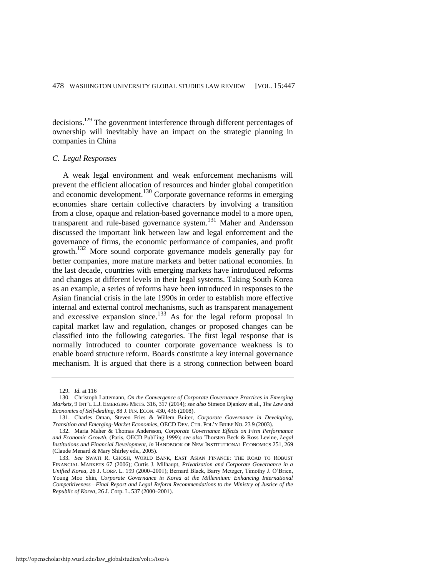<span id="page-32-0"></span>decisions.<sup>129</sup> The govenrment interference through different percentages of ownership will inevitably have an impact on the strategic planning in companies in China

#### *C. Legal Responses*

A weak legal environment and weak enforcement mechanisms will prevent the efficient allocation of resources and hinder global competition and economic development.<sup>130</sup> Corporate governance reforms in emerging economies share certain collective characters by involving a transition from a close, opaque and relation-based governance model to a more open, transparent and rule-based governance system.<sup>131</sup> Maher and Andersson discussed the important link between law and legal enforcement and the governance of firms, the economic performance of companies, and profit growth.<sup>132</sup> More sound corporate governance models generally pay for better companies, more mature markets and better national economies. In the last decade, countries with emerging markets have introduced reforms and changes at different levels in their legal systems. Taking South Korea as an example, a series of reforms have been introduced in responses to the Asian financial crisis in the late 1990s in order to establish more effective internal and external control mechanisms, such as transparent management and excessive expansion since.<sup>133</sup> As for the legal reform proposal in capital market law and regulation, changes or proposed changes can be classified into the following categories. The first legal response that is normally introduced to counter corporate governance weakness is to enable board structure reform. Boards constitute a key internal governance mechanism. It is argued that there is a strong connection between board

<sup>129.</sup> *Id.* at 116

<sup>130.</sup> Christoph Lattemann, *On the Convergence of Corporate Governance Practices in Emerging Markets*, 9 INT'L L.J. EMERGING MKTS. 316, 317 (2014); *see also* Simeon Djankov et al., *The Law and Economics of Self-dealing*, 88 J. FIN. ECON. 430, 436 (2008).

<sup>131.</sup> Charles Oman, Steven Fries & Willem Buiter, *Corporate Governance in Developing, Transition and Emerging-Market Economies*, OECD DEV. CTR. POL'Y BRIEF NO. 23 9 (2003).

<sup>132.</sup> Maria Maher & Thomas Andersson, *Corporate Governance Effects on Firm Performance and Economic Growth*, (Paris, OECD Publ'ing 1999); *see also* Thorsten Beck & Ross Levine, *Legal Institutions and Financial Development*, *in* HANDBOOK OF NEW INSTITUTIONAL ECONOMICS 251, 269 (Claude Menard & Mary Shirley eds., 2005).

<sup>133.</sup> *See* SWATI R. GHOSH, WORLD BANK, EAST ASIAN FINANCE: THE ROAD TO ROBUST FINANCIAL MARKETS 67 (2006); Curtis J. Milhaupt, *Privatization and Corporate Governance in a Unified Korea*, 26 J. CORP. L. 199 (2000–2001); Bernard Black, Barry Metzger, Timothy J. O'Brien, Young Moo Shin, *Corporate Governance in Korea at the Millennium: Enhancing International Competitiveness—Final Report and Legal Reform Recommendations to the Ministry of Justice of the Republic of Korea*, 26 J. Corp. L. 537 (2000–2001).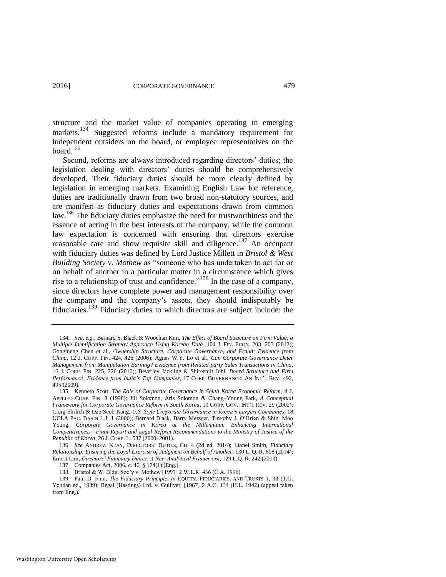structure and the market value of companies operating in emerging markets.<sup>134</sup> Suggested reforms include a mandatory requirement for independent outsiders on the board, or employee representatives on the board  $^{135}$ 

Second, reforms are always introduced regarding directors' duties; the legislation dealing with directors' duties should be comprehensively developed. Their fiduciary duties should be more clearly defined by legislation in emerging markets. Examining English Law for reference, duties are traditionally drawn from two broad non-statutory sources, and are manifest as fiduciary duties and expectations drawn from common law.<sup>136</sup> The fiduciary duties emphasize the need for trustworthiness and the essence of acting in the best interests of the company, while the common law expectation is concerned with ensuring that directors exercise reasonable care and show requisite skill and diligence.<sup>137</sup> An occupant with fiduciary duties was defined by Lord Justice Millett in *Bristol & West Building Society v. Mothew* as "someone who has undertaken to act for or on behalf of another in a particular matter in a circumstance which gives rise to a relationship of trust and confidence."<sup>138</sup> In the case of a company, since directors have complete power and management responsibility over the company and the company's assets, they should indisputably be fiduciaries.139 Fiduciary duties to which directors are subject include: the

<sup>134.</sup> *See, e.g.*, Bernard S. Black & Woochan Kim, *The Effect of Board Structure on Firm Value: a Multiple Identification Strategy Approach Using Korean Data*, 104 J. FIN. ECON. 203, 203 (2012); Gongmeng Chen et al., *Ownership Structure, Corporate Governance, and Fraud: Evidence from China*, 12 J. CORP. FIN. 424, 426 (2006); Agnes W.Y. Lo et al., *Can Corporate Governance Deter Management from Manipulation Earning? Evidence from Related-party Sales Transactions in China*, 16 J. CORP. FIN. 225, 226 (2010); Beverley Jackling & Shireenjit Johl, *Board Structure and Firm Performance: Evidence from India's Top Companies*, 17 CORP. GOVERNANCE: AN INT'L REV. 492, 495 (2009).

<sup>135.</sup> Kenneth Scott, *The Role of Corporate Governance in South Korea Economic Reform*, 4 J. APPLIED CORP. FIN. 8 (1998); Jill Solomon, Aris Solomon & Chang–Young Park, *A Conceptual Framework for Corporate Governance Reform in South Korea*, 10 CORP. GOV.: INT'L REV. 29 (2002); Craig Ehrlich & Dae-Seob Kang, *U.S. Style Corporate Governance in Korea's Largest Companies*, 18 UCLA PAC. BASIN L.J. 1 (2000); Bernard Black, Barry Metzger, Timothy J. O'Brien & Shin, Moo Young, *Corporate Governance in Korea at the Millennium: Enhancing International Competitiveness—Final Report and Legal Reform Recommendations to the Ministry of Justice of the Republic of Korea*, 26 J. CORP. L. 537 (2000–2001).

<sup>136.</sup> *See* ANDREW KEAY, DIRECTORS' DUTIES, CH. 4 (2d ed. 2014); Lionel Smith, *Fiduciary Relationship: Ensuring the Loyal Exercise of Judgment on Behalf of Another*, 130 L. Q. R. 608 (2014); Ernest Lim, *Directors' Fiduciary Duties: A New Analytical Framework*, 129 L.Q. R. 242 (2013).

<sup>137.</sup> Companies Act, 2006, c. 46, § 174(1) (Eng.).

<sup>138.</sup> Bristol & W. Bldg. Soc'y v. Mothew [1997] 2 W.L.R. 436 (C.A. 1996).

<sup>139.</sup> Paul D. Finn, *The Fiduciary Principle*, *in* EQUITY, FIDUCIARIES, AND TRUSTS 1, 33 (T.G. Youdan ed., 1989); Regal (Hastings) Ltd. v. Gulliver, [1967] 2 A.C. 134 (H.L. 1942) (appeal taken from Eng.).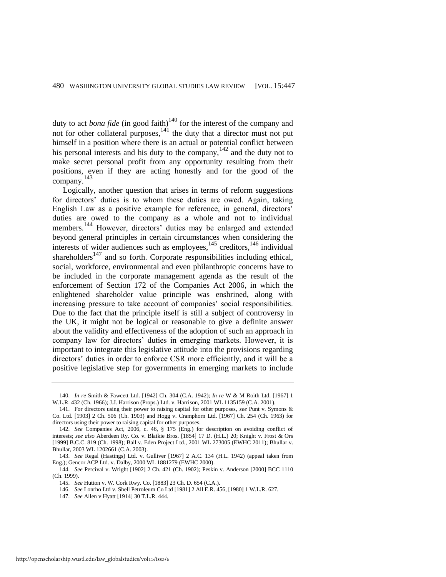duty to act *bona fide* (in good faith)<sup>140</sup> for the interest of the company and not for other collateral purposes, $1^{41}$  the duty that a director must not put himself in a position where there is an actual or potential conflict between his personal interests and his duty to the company,  $142$  and the duty not to make secret personal profit from any opportunity resulting from their positions, even if they are acting honestly and for the good of the company. 143

Logically, another question that arises in terms of reform suggestions for directors' duties is to whom these duties are owed. Again, taking English Law as a positive example for reference, in general, directors' duties are owed to the company as a whole and not to individual members.<sup>144</sup> However, directors' duties may be enlarged and extended beyond general principles in certain circumstances when considering the interests of wider audiences such as employees,<sup>145</sup> creditors,<sup>146</sup> individual shareholders<sup>147</sup> and so forth. Corporate responsibilities including ethical, social, workforce, environmental and even philanthropic concerns have to be included in the corporate management agenda as the result of the enforcement of Section 172 of the Companies Act 2006, in which the enlightened shareholder value principle was enshrined, along with increasing pressure to take account of companies' social responsibilities. Due to the fact that the principle itself is still a subject of controversy in the UK, it might not be logical or reasonable to give a definite answer about the validity and effectiveness of the adoption of such an approach in company law for directors' duties in emerging markets. However, it is important to integrate this legislative attitude into the provisions regarding directors' duties in order to enforce CSR more efficiently, and it will be a positive legislative step for governments in emerging markets to include

<sup>140.</sup> *In re* Smith & Fawcett Ltd. [1942] Ch. 304 (C.A. 1942); *In re* W & M Roith Ltd. [1967] 1 W.L.R. 432 (Ch. 1966); J.J. Harrison (Props.) Ltd. v. Harrison, 2001 WL 1135159 (C.A. 2001).

<sup>141.</sup> For directors using their power to raising capital for other purposes, *see* Punt v. Symons & Co. Ltd. [1903] 2 Ch. 506 (Ch. 1903) and Hogg v. Cramphorn Ltd. [1967] Ch. 254 (Ch. 1963) for directors using their power to raising capital for other purposes.

<sup>142.</sup> *See* Companies Act, 2006, c. 46, § 175 (Eng.) for description on avoiding conflict of interests; *see also* Aberdeen Ry. Co. v. Blaikie Bros. [1854] 17 D. (H.L.) 20; Knight v. Frost & Ors [1999] B.C.C. 819 (Ch. 1998); Ball v. Eden Project Ltd., 2001 WL 273005 (EWHC 2011); Bhullar v. Bhullar, 2003 WL 1202661 (C.A. 2003).

<sup>143.</sup> *See* Regal (Hastings) Ltd. v. Gulliver [1967] 2 A.C. 134 (H.L. 1942) (appeal taken from Eng.); Gencor ACP Ltd. v. Dalby, 2000 WL 1881279 (EWHC 2000).

<sup>144.</sup> *See* Percival v. Wright [1902] 2 Ch. 421 (Ch. 1902); Peskin v. Anderson [2000] BCC 1110 (Ch. 1999).

<sup>145.</sup> *See* Hutton v. W. Cork Rwy. Co. [1883] 23 Ch. D. 654 (C.A.).

<sup>146.</sup> *See* Lonrho Ltd v. Shell Petroleum Co Ltd [1981] 2 All E.R. 456, [1980] 1 W.L.R. 627.

<sup>147.</sup> *See* Allen v Hyatt [1914] 30 T.L.R. 444.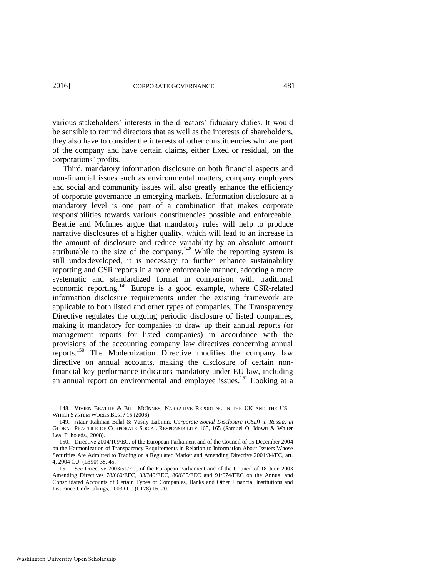various stakeholders' interests in the directors' fiduciary duties. It would be sensible to remind directors that as well as the interests of shareholders, they also have to consider the interests of other constituencies who are part of the company and have certain claims, either fixed or residual, on the corporations' profits.

Third, mandatory information disclosure on both financial aspects and non-financial issues such as environmental matters, company employees and social and community issues will also greatly enhance the efficiency of corporate governance in emerging markets. Information disclosure at a mandatory level is one part of a combination that makes corporate responsibilities towards various constituencies possible and enforceable. Beattie and McInnes argue that mandatory rules will help to produce narrative disclosures of a higher quality, which will lead to an increase in the amount of disclosure and reduce variability by an absolute amount attributable to the size of the company.<sup>148</sup> While the reporting system is still underdeveloped, it is necessary to further enhance sustainability reporting and CSR reports in a more enforceable manner, adopting a more systematic and standardized format in comparison with traditional economic reporting.<sup>149</sup> Europe is a good example, where CSR-related information disclosure requirements under the existing framework are applicable to both listed and other types of companies. The Transparency Directive regulates the ongoing periodic disclosure of listed companies, making it mandatory for companies to draw up their annual reports (or management reports for listed companies) in accordance with the provisions of the accounting company law directives concerning annual reports.<sup>150</sup> The Modernization Directive modifies the company law directive on annual accounts, making the disclosure of certain nonfinancial key performance indicators mandatory under EU law, including an annual report on environmental and employee issues.<sup>151</sup> Looking at a

<sup>148.</sup> VIVIEN BEATTIE & BILL MCINNES, NARRATIVE REPORTING IN THE UK AND THE US-WHICH SYSTEM WORKS BEST? 15 (2006).

<sup>149.</sup> Ataur Rahman Belal & Vasily Lubinin, *Corporate Social Disclosure (CSD) in Russia*, *in* GLOBAL PRACTICE OF CORPORATE SOCIAL RESPONSIBILITY 165, 165 (Samuel O. Idowu & Walter Leal Filho eds., 2008).

<sup>150.</sup> Directive 2004/109/EC, of the European Parliament and of the Council of 15 December 2004 on the Harmonization of Transparency Requirements in Relation to Information About Issuers Whose Securities Are Admitted to Trading on a Regulated Market and Amending Directive 2001/34/EC, art. 4, 2004 O.J. (L390) 38, 45.

<sup>151.</sup> *See* Directive 2003/51/EC, of the European Parliament and of the Council of 18 June 2003 Amending Directives 78/660/EEC, 83/349/EEC, 86/635/EEC and 91/674/EEC on the Annual and Consolidated Accounts of Certain Types of Companies, Banks and Other Financial Institutions and Insurance Undertakings, 2003 O.J. (L178) 16, 20.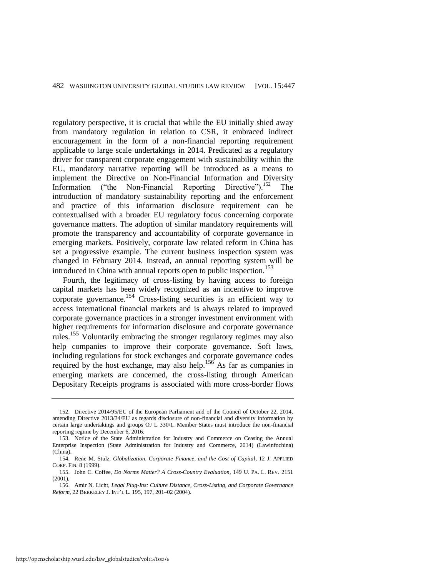regulatory perspective, it is crucial that while the EU initially shied away from mandatory regulation in relation to CSR, it embraced indirect encouragement in the form of a non-financial reporting requirement applicable to large scale undertakings in 2014. Predicated as a regulatory driver for transparent corporate engagement with sustainability within the EU, mandatory narrative reporting will be introduced as a means to implement the Directive on Non-Financial Information and Diversity Information ("the Non-Financial Reporting Directive").<sup>152</sup> The introduction of mandatory sustainability reporting and the enforcement and practice of this information disclosure requirement can be contextualised with a broader EU regulatory focus concerning corporate governance matters. The adoption of similar mandatory requirements will promote the transparency and accountability of corporate governance in emerging markets. Positively, corporate law related reform in China has set a progressive example. The current business inspection system was changed in February 2014. Instead, an annual reporting system will be introduced in China with annual reports open to public inspection.<sup>153</sup>

Fourth, the legitimacy of cross-listing by having access to foreign capital markets has been widely recognized as an incentive to improve corporate governance.154 Cross-listing securities is an efficient way to access international financial markets and is always related to improved corporate governance practices in a stronger investment environment with higher requirements for information disclosure and corporate governance rules.<sup>155</sup> Voluntarily embracing the stronger regulatory regimes may also help companies to improve their corporate governance. Soft laws, including regulations for stock exchanges and corporate governance codes required by the host exchange, may also help.<sup>156</sup> As far as companies in emerging markets are concerned, the cross-listing through American Depositary Receipts programs is associated with more cross-border flows

<sup>152.</sup> Directive 2014/95/EU of the European Parliament and of the Council of October 22, 2014, amending Directive 2013/34/EU as regards disclosure of non-financial and diversity information by certain large undertakings and groups OJ L 330/1. Member States must introduce the non-financial reporting regime by December 6, 2016.

<sup>153.</sup> Notice of the State Administration for Industry and Commerce on Ceasing the Annual Enterprise Inspection (State Administration for Industry and Commerce, 2014) (Lawinfochina) (China).

<sup>154.</sup> Rene M. Stulz, *Globalization, Corporate Finance, and the Cost of Capital*, 12 J. APPLIED CORP. FIN. 8 (1999).

<sup>155.</sup> John C. Coffee, *Do Norms Matter? A Cross-Country Evaluation*, 149 U. PA. L. REV. 2151 (2001).

<sup>156.</sup> Amir N. Licht, *Legal Plug-Ins: Culture Distance, Cross-Listing, and Corporate Governance Reform*, 22 BERKELEY J. INT'L L. 195, 197, 201–02 (2004).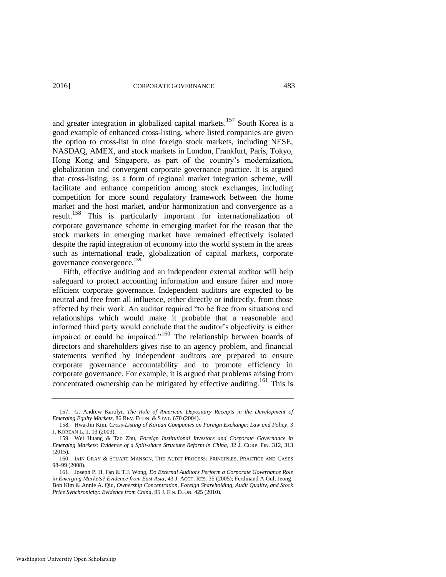and greater integration in globalized capital markets.<sup>157</sup> South Korea is a good example of enhanced cross-listing, where listed companies are given the option to cross-list in nine foreign stock markets, including NESE, NASDAQ, AMEX, and stock markets in London, Frankfurt, Paris, Tokyo, Hong Kong and Singapore, as part of the country's modernization, globalization and convergent corporate governance practice. It is argued that cross-listing, as a form of regional market integration scheme, will facilitate and enhance competition among stock exchanges, including competition for more sound regulatory framework between the home market and the host market, and/or harmonization and convergence as a result.158 This is particularly important for internationalization of corporate governance scheme in emerging market for the reason that the stock markets in emerging market have remained effectively isolated despite the rapid integration of economy into the world system in the areas such as international trade, globalization of capital markets, corporate governance convergence.<sup>159</sup>

Fifth, effective auditing and an independent external auditor will help safeguard to protect accounting information and ensure fairer and more efficient corporate governance. Independent auditors are expected to be neutral and free from all influence, either directly or indirectly, from those affected by their work. An auditor required "to be free from situations and relationships which would make it probable that a reasonable and informed third party would conclude that the auditor's objectivity is either impaired or could be impaired."<sup>160</sup> The relationship between boards of directors and shareholders gives rise to an agency problem, and financial statements verified by independent auditors are prepared to ensure corporate governance accountability and to promote efficiency in corporate governance. For example, it is argued that problems arising from concentrated ownership can be mitigated by effective auditing.<sup>161</sup> This is

<sup>157.</sup> G. Andrew Karolyi, *The Role of American Depositary Receipts in the Development of Emerging Equity Markets*, 86 REV. ECON. & STAT. 670 (2004).

<sup>158.</sup> Hwa-Jin Kim, *Cross-Listing of Korean Companies on Foreign Exchange: Law and Policy*, 3 J. KOREAN L. 1, 13 (2003).

<sup>159.</sup> Wei Huang & Tao Zhu, *Foreign Institutional Investors and Corporate Governance in Emerging Markets: Evidence of a Split-share Structure Reform in China*, 32 J. CORP. FIN. 312, 313 (2015).

<sup>160.</sup> IAIN GRAY & STUART MANSON, THE AUDIT PROCESS: PRINCIPLES, PRACTICE AND CASES 98–99 (2008).

<sup>161.</sup> Joseph P. H. Fan & T.J. Wong, *Do External Auditors Perform a Corporate Governance Role in Emerging Markets? Evidence from East Asia*, 43 J. ACCT. RES. 35 (2005); Ferdinand A Gul, Jeong-Bon Kim & Annie A. Qiu, *Ownership Concentration, Foreign Shareholding, Audit Quality, and Stock Price Synchronicity: Evidence from China*, 95 J. FIN. ECON. 425 (2010).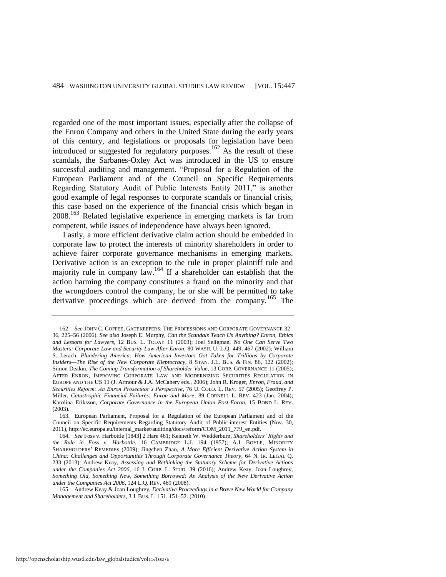regarded one of the most important issues, especially after the collapse of the Enron Company and others in the United State during the early years of this century, and legislations or proposals for legislation have been introduced or suggested for regulatory purposes.<sup>162</sup> As the result of these scandals, the Sarbanes-Oxley Act was introduced in the US to ensure successful auditing and management. "Proposal for a Regulation of the European Parliament and of the Council on Specific Requirements Regarding Statutory Audit of Public Interests Entity 2011," is another good example of legal responses to corporate scandals or financial crisis, this case based on the experience of the financial crisis which began in  $2008<sup>163</sup>$  Related legislative experience in emerging markets is far from competent, while issues of independence have always been ignored.

Lastly, a more efficient derivative claim action should be embedded in corporate law to protect the interests of minority shareholders in order to achieve fairer corporate governance mechanisms in emerging markets. Derivative action is an exception to the rule in proper plaintiff rule and majority rule in company law.<sup>164</sup> If a shareholder can establish that the action harming the company constitutes a fraud on the minority and that the wrongdoers control the company, he or she will be permitted to take derivative proceedings which are derived from the company.<sup>165</sup> The

<span id="page-38-0"></span><sup>162.</sup> *See* JOHN C. COFFEE, GATEKEEPERS: THE PROFESSIONS AND CORPORATE GOVERNANCE 32– 36, 225–56 (2006). *See also* Joseph E. Murphy, *Can the Scandals Teach Us Anything? Enron, Ethics and Lessons for Lawyers*, 12 BUS. L. TODAY 11 (2003); Joel Seligman, *No One Can Serve Two Masters: Corporate Law and Security Law After Enron*, 80 WASH. U. L.Q. 449, 467 (2002); William S. Lerach, *Plundering America: How American Investors Got Taken for Trillions by Corporate Insiders—The Rise of the New Corporate Kleptocracy,* 8 STAN. J.L. BUS*.* & FIN. 86, 122 (2002); Simon Deakin, *The Coming Transformation of Shareholder Value*, 13 CORP. GOVERNANCE 11 (2005); AFTER ENRON, IMPROVING CORPORATE LAW AND MODERNIZING SECURITIES REGULATION IN EUROPE AND THE US 11 (J. Armour & J.A. McCahery eds., 2006); John R. Kroger, *Enron, Fraud, and Securities Reform: An Enron Prosecutor's Perspective*, 76 U. COLO. L. REV. 57 (2005); Geoffrey P. Miller, *Catastrophic Financial Failures: Enron and More*, 89 CORNELL L. REV. 423 (Jan. 2004); Karolina Eriksson, *Corporate Governance in the European Union Post-Enron*, 15 BOND L. REV. (2003).

<sup>163.</sup> European Parliament, Proposal for a Regulation of the European Parliament and of the Council on Specific Requirements Regarding Statutory Audit of Public-interest Entities (Nov. 30, 2011), http://ec.europa.eu/internal\_market/auditing/docs/reform/COM\_2011\_779\_en.pdf*.*

<sup>164.</sup> *See* Foss v. Harbottle [1843] 2 Hare 461; Kenneth W. Wedderburn, *Shareholders' Rights and the Rule in Foss v. Harbottle*, 16 CAMBRIDGE L.J. 194 (1957); A.J. BOYLE, MINORITY SHAREHOLDERS' REMEDIES (2009); Jingchen Zhao, *A More Efficient Derivative Action System in China: Challenges and Opportunities Through Corporate Governance Theory*, 64 N. IR. LEGAL Q. 233 (2013); Andrew Keay, *Assessing and Rethinking the Statutory Scheme for Derivative Actions under the Companies Act 2006*, 16 J. CORP. L. STUD. 39 (2016); Andrew Keay, Joan Loughrey, *Something Old, Something New, Something Borrowed: An Analysis of the New Derivative Action under the Companies Act 2006*, 124 L.Q. REV. 469 (2008).

<sup>165.</sup> Andrew Keay & Joan Loughrey, *Derivative Proceedings in a Brave New World for Company Management and Shareholders*, 3 J. BUS. L. 151, 151–52. (2010)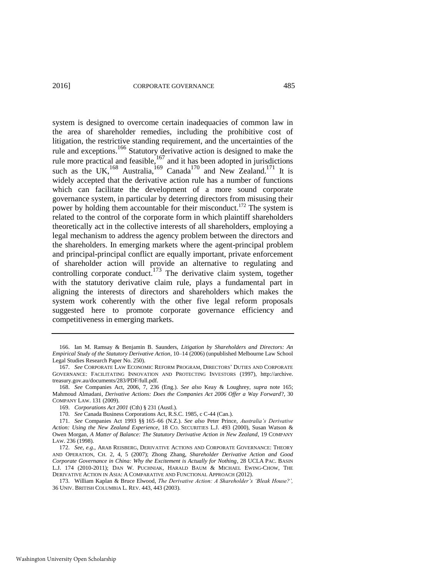system is designed to overcome certain inadequacies of common law in the area of shareholder remedies, including the prohibitive cost of litigation, the restrictive standing requirement, and the uncertainties of the rule and exceptions.<sup>166</sup> Statutory derivative action is designed to make the rule more practical and feasible,  $167$  and it has been adopted in jurisdictions such as the UK,<sup>168</sup> Australia,<sup>169</sup> Canada<sup>170</sup> and New Zealand.<sup>171</sup> It is widely accepted that the derivative action rule has a number of functions which can facilitate the development of a more sound corporate governance system, in particular by deterring directors from misusing their power by holding them accountable for their misconduct.<sup>172</sup> The system is related to the control of the corporate form in which plaintiff shareholders theoretically act in the collective interests of all shareholders, employing a legal mechanism to address the agency problem between the directors and the shareholders. In emerging markets where the agent-principal problem and principal-principal conflict are equally important, private enforcement of shareholder action will provide an alternative to regulating and controlling corporate conduct.<sup>173</sup> The derivative claim system, together with the statutory derivative claim rule, plays a fundamental part in aligning the interests of directors and shareholders which makes the system work coherently with the other five legal reform proposals suggested here to promote corporate governance efficiency and competitiveness in emerging markets.

<sup>166.</sup> Ian M. Ramsay & Benjamin B. Saunders, *Litigation by Shareholders and Directors: An Empirical Study of the Statutory Derivative Action*, 10–14 (2006) (unpublished Melbourne Law School Legal Studies Research Paper No. 250).

<sup>167.</sup> *See* CORPORATE LAW ECONOMIC REFORM PROGRAM, DIRECTORS' DUTIES AND CORPORATE GOVERNANCE: FACILITATING INNOVATION AND PROTECTING INVESTORS (1997), http://archive. treasury.gov.au/documents/283/PDF/full.pdf.

<sup>168.</sup> *See* Companies Act, 2006, 7, 236 (Eng.). *See also* Keay & Loughrey, *supra* note [165;](#page-38-0)  Mahmoud Almadani, *Derivative Actions: Does the Companies Act 2006 Offer a Way Forward*?, 30 COMPANY LAW. 131 (2009).

<sup>169.</sup> *Corporations Act 2001* (Cth) § 231 (Austl.).

<sup>170.</sup> *See* Canada Business Corporations Act, R.S.C. 1985, c C-44 (Can.).

<sup>171.</sup> *See* Companies Act 1993 §§ 165–66 (N.Z.). *See also* Peter Prince, *Australia's Derivative Action: Using the New Zealand Experience*, 18 CO. SECURITIES L.J. 493 (2000), Susan Watson & Owen Morgan, *A Matter of Balance: The Statutory Derivative Action in New Zealand*, 19 COMPANY LAW. 236 (1998).

<sup>172.</sup> *See, e.g.*, ARAB REISBERG, DERIVATIVE ACTIONS AND CORPORATE GOVERNANCE: THEORY AND OPERATION, CH. 2, 4, 5 (2007); Zhong Zhang, *Shareholder Derivative Action and Good Corporate Governance in China: Why the Excitement is Actually for Nothing*, 28 UCLA PAC. BASIN L.J. 174 (2010-2011); DAN W. PUCHNIAK, HARALD BAUM & MICHAEL EWING-CHOW, THE DERIVATIVE ACTION IN ASIA: A COMPARATIVE AND FUNCTIONAL APPROACH (2012).

<sup>173.</sup> William Kaplan & Bruce Elwood, *The Derivative Action: A Shareholder's 'Bleak House?',* 36 UNIV. BRITISH COLUMBIA L. REV. 443, 443 (2003).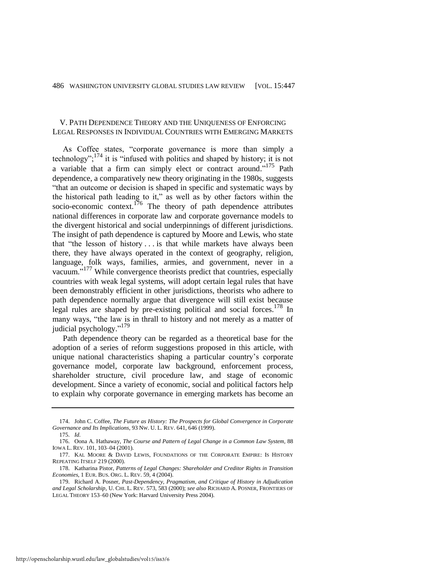# V. PATH DEPENDENCE THEORY AND THE UNIQUENESS OF ENFORCING LEGAL RESPONSES IN INDIVIDUAL COUNTRIES WITH EMERGING MARKETS

<span id="page-40-0"></span>As Coffee states, "corporate governance is more than simply a technology";<sup>174</sup> it is "infused with politics and shaped by history; it is not a variable that a firm can simply elect or contract around."<sup>175</sup> Path dependence, a comparatively new theory originating in the 1980s, suggests "that an outcome or decision is shaped in specific and systematic ways by the historical path leading to it," as well as by other factors within the socio-economic context.<sup>176</sup> The theory of path dependence attributes national differences in corporate law and corporate governance models to the divergent historical and social underpinnings of different jurisdictions. The insight of path dependence is captured by Moore and Lewis, who state that "the lesson of history . . . is that while markets have always been there, they have always operated in the context of geography, religion, language, folk ways, families, armies, and government, never in a vacuum." <sup>177</sup> While convergence theorists predict that countries, especially countries with weak legal systems, will adopt certain legal rules that have been demonstrably efficient in other jurisdictions, theorists who adhere to path dependence normally argue that divergence will still exist because legal rules are shaped by pre-existing political and social forces.<sup>178</sup> In many ways, "the law is in thrall to history and not merely as a matter of judicial psychology."<sup>179</sup>

Path dependence theory can be regarded as a theoretical base for the adoption of a series of reform suggestions proposed in this article, with unique national characteristics shaping a particular country's corporate governance model, corporate law background, enforcement process, shareholder structure, civil procedure law, and stage of economic development. Since a variety of economic, social and political factors help to explain why corporate governance in emerging markets has become an

<sup>174.</sup> John C. Coffee, *The Future as History: The Prospects for Global Convergence in Corporate Governance and Its Implications*, 93 NW. U. L. REV. 641, 646 (1999).

<sup>175.</sup> *Id.*

<sup>176.</sup> Oona A. Hathaway, *The Course and Pattern of Legal Change in a Common Law System,* 88 IOWA L. REV. 101, 103–04 (2001).

<sup>177.</sup> KAL MOORE & DAVID LEWIS, FOUNDATIONS OF THE CORPORATE EMPIRE: IS HISTORY REPEATING ITSELF 219 (2000).

<sup>178.</sup> Katharina Pistor, *Patterns of Legal Changes: Shareholder and Creditor Rights in Transition Economies*, 1 EUR. BUS. ORG. L. REV. 59, 4 (2004).

<sup>179.</sup> Richard A. Posner, *Past-Dependency, Pragmatism, and Critique of History in Adjudication and Legal Scholarship*, U. CHI. L. REV. 573, 583 (2000); *see also* RICHARD A. POSNER, FRONTIERS OF LEGAL THEORY 153–60 (New York: Harvard University Press 2004).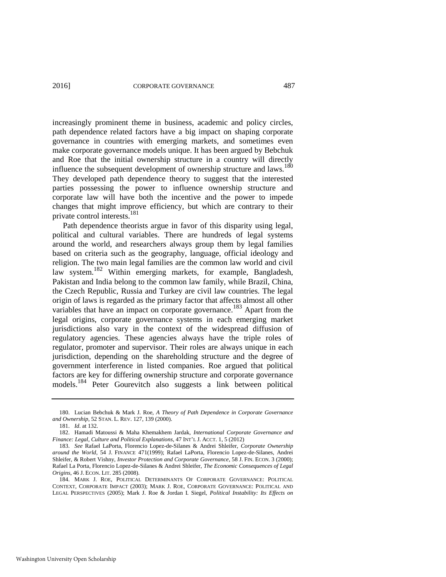increasingly prominent theme in business, academic and policy circles, path dependence related factors have a big impact on shaping corporate governance in countries with emerging markets, and sometimes even make corporate governance models unique. It has been argued by Bebchuk and Roe that the initial ownership structure in a country will directly influence the subsequent development of ownership structure and laws.<sup>180</sup> They developed path dependence theory to suggest that the interested parties possessing the power to influence ownership structure and corporate law will have both the incentive and the power to impede changes that might improve efficiency, but which are contrary to their private control interests.<sup>181</sup>

<span id="page-41-3"></span><span id="page-41-1"></span>Path dependence theorists argue in favor of this disparity using legal, political and cultural variables. There are hundreds of legal systems around the world, and researchers always group them by legal families based on criteria such as the geography, language, official ideology and religion. The two main legal families are the common law world and civil law system.<sup>182</sup> Within emerging markets, for example, Bangladesh, Pakistan and India belong to the common law family, while Brazil, China, the Czech Republic, Russia and Turkey are civil law countries. The legal origin of laws is regarded as the primary factor that affects almost all other variables that have an impact on corporate governance.<sup>183</sup> Apart from the legal origins, corporate governance systems in each emerging market jurisdictions also vary in the context of the widespread diffusion of regulatory agencies. These agencies always have the triple roles of regulator, promoter and supervisor. Their roles are always unique in each jurisdiction, depending on the shareholding structure and the degree of government interference in listed companies. Roe argued that political factors are key for differing ownership structure and corporate governance models.<sup>184</sup> Peter Gourevitch also suggests a link between political

<span id="page-41-2"></span>

<span id="page-41-0"></span><sup>180.</sup> Lucian Bebchuk & Mark J. Roe, *A Theory of Path Dependence in Corporate Governance and Ownership*, 52 STAN. L. REV. 127, 139 (2000).

<sup>181.</sup> *Id*. at 132.

<sup>182.</sup> Hamadi Matoussi & Maha Khemakhem Jardak, *International Corporate Governance and Finance: Legal, Culture and Political Explanations*, 47 INT'L J. ACCT. 1, 5 (2012)

<sup>183.</sup> *See* Rafael LaPorta, Florencio Lopez-de-Silanes & Andrei Shleifer, *Corporate Ownership around the World*, 54 J. FINANCE 471(1999); Rafael LaPorta, Florencio Lopez-de-Silanes, Andrei Shleifer, & Robert Vishny, *Investor Protection and Corporate Governance*, 58 J. FIN. ECON. 3 (2000); Rafael La Porta, Florencio Lopez-de-Silanes & Andrei Shleifer, *The Economic Consequences of Legal Origins*, 46 J. ECON. LIT. 285 (2008).

<sup>184.</sup> MARK J. ROE, POLITICAL DETERMINANTS OF CORPORATE GOVERNANCE: POLITICAL CONTEXT, CORPORATE IMPACT (2003); MARK J. ROE, CORPORATE GOVERNANCE: POLITICAL AND LEGAL PERSPECTIVES (2005); Mark J. Roe & Jordan I. Siegel, *Political Instability: Its Effects on*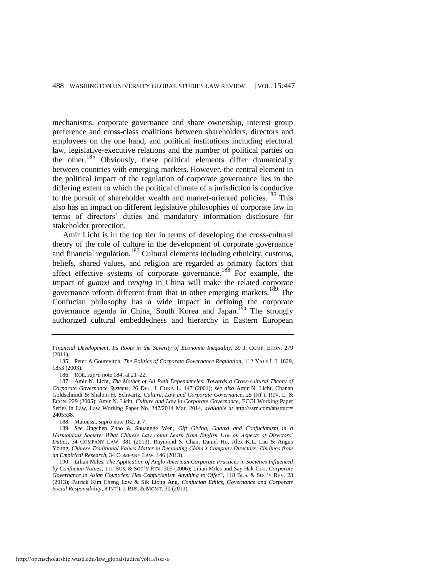mechanisms, corporate governance and share ownership, interest group preference and cross-class coalitions between shareholders, directors and employees on the one hand, and political institutions including electoral law, legislative-executive relations and the number of political parties on the other.<sup>185</sup> Obviously, these political elements differ dramatically between countries with emerging markets. However, the central element in the political impact of the regulation of corporate governance lies in the differing extent to which the political climate of a jurisdiction is conducive to the pursuit of shareholder wealth and market-oriented policies.<sup>186</sup> This also has an impact on different legislative philosophies of corporate law in terms of directors' duties and mandatory information disclosure for stakeholder protection.

Amir Licht is in the top tier in terms of developing the cross-cultural theory of the role of culture in the development of corporate governance and financial regulation.<sup>187</sup> Cultural elements including ethnicity, customs, beliefs, shared values, and religion are regarded as primary factors that affect effective systems of corporate governance.<sup>188</sup> For example, the impact of g*uanxi* and r*enqing* in China will make the related corporate governance reform different from that in other emerging markets.<sup>189</sup> The Confucian philosophy has a wide impact in defining the corporate governance agenda in China, South Korea and Japan.<sup>190</sup> The strongly authorized cultural embeddedness and hierarchy in Eastern European

*Financial Development, Its Roots in the Severity of Economic Inequality*, 39 J. COMP. ECON. 279 (2011).

<sup>185.</sup> Peter A Gourevitch, *The Politics of Corporate Governance Regulation*, 112 YALE L.J. 1829, 1853 (2003).

<sup>186.</sup> ROE, *supra* not[e 184,](#page-41-0) at 21–22.

<sup>187.</sup> Amir N. Licht, *The Mother of All Path Dependencies: Towards a Cross-cultural Theory of Corporate Governance Systems*, 26 DEL. J. CORP. L. 147 (2001); *see also* Amir N. Licht, Chanan Goldschmidt & Shalom H. Schwartz, *Culture, Law and Corporate Governance*, 25 INT'L REV. L. & ECON. 229 (2005); Amir N. Licht, *Culture and Law in Corporate Governance*, ECGI Working Paper Series in Law, Law Working Paper No. 247/2014 Mar. 2014, *available at* [http://ssrn.com/abstract=](http://ssrn.com/abstract=2405538)  [2405538.](http://ssrn.com/abstract=2405538)

<sup>188.</sup> Matoussi, *supra* not[e 182,](#page-41-1) at 7.

<sup>189.</sup> *See* Jingchen Zhao & Shuangge Wen, *Gift Giving, Guanxi and Confucianism in a Harmonious Society: What Chinese Law could Learn from English Law on Aspects of Directors' Duties*, 34 COMPANY LAW. 381 (2013); Raymond S. Chan, Daniel Ho, Alex K.L. Lau & Angus Young, *Chinese Traditional Values Matter in Regulating China's Company Directors: Findings from an Empirical Research*, 34 COMPANY LAW. 146 (2013).

<sup>190.</sup> Lilian Miles, *The Application of Anglo American Corporate Practices in Societies Influenced by Confucian Values*, 111 BUS. & SOC'Y REV. 305 (2006); Lilian Miles and Say Hak Goo, *Corporate Governance in Asian Countries: Has Confucianism Anything to Offer?*, 118 BUS. & SOC'Y REV. 23 (2013); Patrick Kim Cheng Low & Sik Liong Ang, *Confucian Ethics, Governance and Corporate Social Responsibility*, 8 INT'L J. BUS. & MGMT. 30 (2013).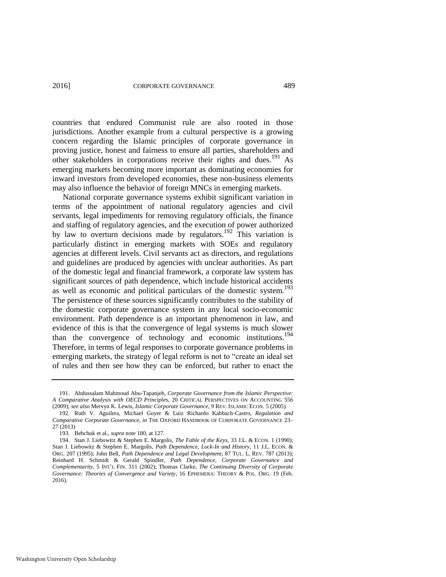countries that endured Communist rule are also rooted in those jurisdictions. Another example from a cultural perspective is a growing concern regarding the Islamic principles of corporate governance in proving justice, honest and fairness to ensure all parties, shareholders and other stakeholders in corporations receive their rights and dues.<sup>191</sup> As emerging markets becoming more important as dominating economies for inward investors from developed economies, these non-business elements may also influence the behavior of foreign MNCs in emerging markets.

National corporate governance systems exhibit significant variation in terms of the appointment of national regulatory agencies and civil servants, legal impediments for removing regulatory officials, the finance and staffing of regulatory agencies, and the execution of power authorized by law to overturn decisions made by regulators.<sup>192</sup> This variation is particularly distinct in emerging markets with SOEs and regulatory agencies at different levels. Civil servants act as directors, and regulations and guidelines are produced by agencies with unclear authorities. As part of the domestic legal and financial framework, a corporate law system has significant sources of path dependence, which include historical accidents as well as economic and political particulars of the domestic system.<sup>193</sup> The persistence of these sources significantly contributes to the stability of the domestic corporate governance system in any local socio-economic environment. Path dependence is an important phenomenon in law, and evidence of this is that the convergence of legal systems is much slower than the convergence of technology and economic institutions.<sup>194</sup> Therefore, in terms of legal responses to corporate governance problems in emerging markets, the strategy of legal reform is not to "create an ideal set of rules and then see how they can be enforced, but rather to enact the

<sup>191.</sup> Abdussalam Mahmoud Abu-Tapanjeh, *Corporate Governance from the Islamic Perspective: A Comparative Analysis with OECD Principles*, 20 CRITICAL PERSPECTIVES ON ACCOUNTING 556 (2009); *see also* Mervyn K. Lewis, *Islamic Corporate Governance*, 9 REV. ISLAMIC ECON. 5 (2005).

<sup>192.</sup> Ruth V. Aguilera, Michael Goyer & Luiz Richardo Kabbach-Castro, *Regulation and Comparative Corporate Governance*, *in* THE OXFORD HANDBOOK OF CORPORATE GOVERNANCE 23– 27 (2013)

<sup>193.</sup> Bebchuk et al., *supra* not[e 180,](#page-41-2) at 127.

<sup>194.</sup> Stan J. Liebowitz & Stephen E. Margolis, *The Fable of the Keys*, 33 J.L. & ECON*.* 1 (1990); Stan J. Liebowitz & Stephen E. Margolis, *Path Dependence, Lock-In and History*, 11 J.L. ECON. & ORG. 207 (1995); John Bell, *Path Dependence and Legal Development*, 87 TUL. L. REV. 787 (2013); Reinhard H. Schmidt & Gerald Spindler, *Path Dependence, Corporate Governance and Complementarity*, 5 INT'L FIN. 311 (2002); Thomas Clarke, *The Continuing Diversity of Corporate Governance: Theories of Convergence and Variety*, 16 EPHEMERA: THEORY & POL. ORG. 19 (Feb. 2016).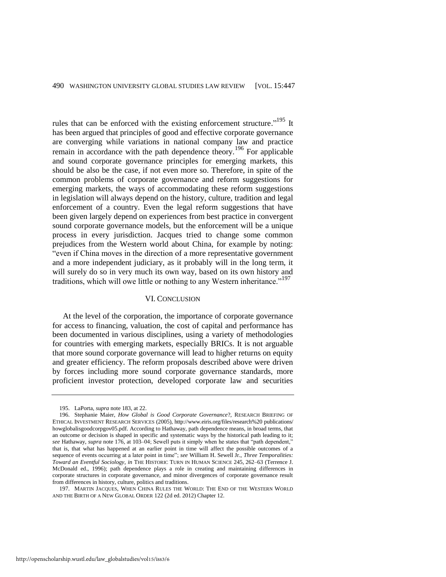rules that can be enforced with the existing enforcement structure."<sup>195</sup> It has been argued that principles of good and effective corporate governance are converging while variations in national company law and practice remain in accordance with the path dependence theory.<sup>196</sup> For applicable and sound corporate governance principles for emerging markets, this should be also be the case, if not even more so. Therefore, in spite of the common problems of corporate governance and reform suggestions for emerging markets, the ways of accommodating these reform suggestions in legislation will always depend on the history, culture, tradition and legal enforcement of a country. Even the legal reform suggestions that have been given largely depend on experiences from best practice in convergent sound corporate governance models, but the enforcement will be a unique process in every jurisdiction. Jacques tried to change some common prejudices from the Western world about China, for example by noting: "even if China moves in the direction of a more representative government and a more independent judiciary, as it probably will in the long term, it will surely do so in very much its own way, based on its own history and traditions, which will owe little or nothing to any Western inheritance."<sup>197</sup>

#### VI. CONCLUSION

At the level of the corporation, the importance of corporate governance for access to financing, valuation, the cost of capital and performance has been documented in various disciplines, using a variety of methodologies for countries with emerging markets, especially BRICs. It is not arguable that more sound corporate governance will lead to higher returns on equity and greater efficiency. The reform proposals described above were driven by forces including more sound corporate governance standards, more proficient investor protection, developed corporate law and securities

<sup>195.</sup> LaPorta, *supra* not[e 183,](#page-41-3) at 22.

<sup>196.</sup> Stephanie Maier, *How Global is Good Corporate Governance*?, RESEARCH BRIEFING OF ETHICAL INVESTMENT RESEARCH SERVICES (2005), http://www.eiris.org/files/research%20 publications/ howglobalisgoodcorpgov05.pdf. According to Hathaway, path dependence means, in broad terms, that an outcome or decision is shaped in specific and systematic ways by the historical path leading to it; *see* Hathaway, *supra* not[e 176,](#page-40-0) at 103–04; Sewell puts it simply when he states that "path dependent," that is, that what has happened at an earlier point in time will affect the possible outcomes of a sequence of events occurring at a later point in time"; *see* William H. Sewell Jr., *Three Temporalities: Toward an Eventful Sociology*, *in* THE HISTORIC TURN IN HUMAN SCIENCE 245, 262–63 (Terrence J. McDonald ed., 1996); path dependence plays a role in creating and maintaining differences in corporate structures in corporate governance, and minor divergences of corporate governance result from differences in history, culture, politics and traditions.

<sup>197.</sup> MARTIN JACQUES, WHEN CHINA RULES THE WORLD: THE END OF THE WESTERN WORLD AND THE BIRTH OF A NEW GLOBAL ORDER 122 (2d ed. 2012) Chapter 12.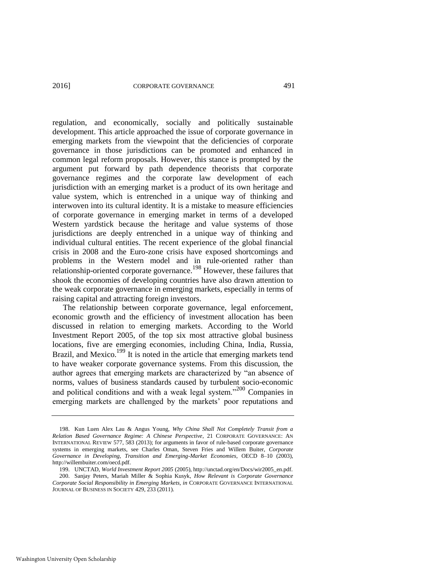regulation, and economically, socially and politically sustainable development. This article approached the issue of corporate governance in emerging markets from the viewpoint that the deficiencies of corporate governance in those jurisdictions can be promoted and enhanced in common legal reform proposals. However, this stance is prompted by the argument put forward by path dependence theorists that corporate governance regimes and the corporate law development of each jurisdiction with an emerging market is a product of its own heritage and value system, which is entrenched in a unique way of thinking and interwoven into its cultural identity. It is a mistake to measure efficiencies of corporate governance in emerging market in terms of a developed Western yardstick because the heritage and value systems of those jurisdictions are deeply entrenched in a unique way of thinking and individual cultural entities. The recent experience of the global financial crisis in 2008 and the Euro-zone crisis have exposed shortcomings and problems in the Western model and in rule-oriented rather than relationship-oriented corporate governance.<sup>198</sup> However, these failures that shook the economies of developing countries have also drawn attention to the weak corporate governance in emerging markets, especially in terms of raising capital and attracting foreign investors.

The relationship between corporate governance, legal enforcement, economic growth and the efficiency of investment allocation has been discussed in relation to emerging markets. According to the World Investment Report 2005, of the top six most attractive global business locations, five are emerging economies, including China, India, Russia, Brazil, and Mexico.<sup>199</sup> It is noted in the article that emerging markets tend to have weaker corporate governance systems. From this discussion, the author agrees that emerging markets are characterized by "an absence of norms, values of business standards caused by turbulent socio-economic and political conditions and with a weak legal system."<sup>200</sup> Companies in emerging markets are challenged by the markets' poor reputations and

<sup>198.</sup> Kun Luen Alex Lau & Angus Young, *Why China Shall Not Completely Transit from a Relation Based Governance Regime: A Chinese Perspective*, 21 CORPORATE GOVERNANCE: AN INTERNATIONAL REVIEW 577, 583 (2013); for arguments in favor of rule-based corporate governance systems in emerging markets, see Charles Oman, Steven Fries and Willem Buiter, *Corporate Governance in Developing, Transition and Emerging-Market Economies*, OECD 8–10 (2003), [http://willembuiter.com/oecd.pdf.](http://willembuiter.com/oecd.pdf) 

<sup>199.</sup> UNCTAD, *World Investment Report 2005* (2005), http://unctad.org/en/Docs/wir2005\_en.pdf. 200. Sanjay Peters, Mariah Miller & Sophia Kusyk, *How Relevant is Corporate Governance Corporate Social Responsibility in Emerging Markets, in* CORPORATE GOVERNANCE INTERNATIONAL JOURNAL OF BUSINESS IN SOCIETY 429, 233 (2011).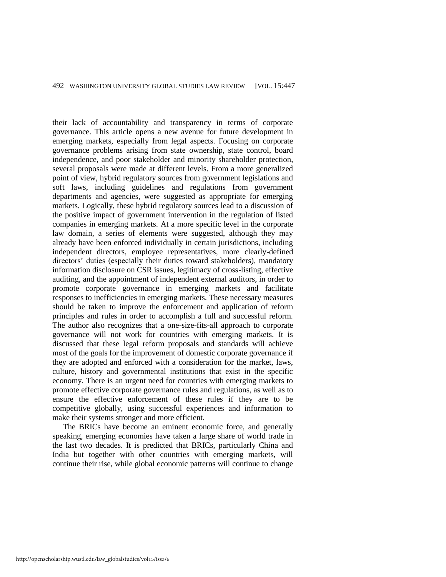their lack of accountability and transparency in terms of corporate governance. This article opens a new avenue for future development in emerging markets, especially from legal aspects. Focusing on corporate governance problems arising from state ownership, state control, board independence, and poor stakeholder and minority shareholder protection, several proposals were made at different levels. From a more generalized point of view, hybrid regulatory sources from government legislations and soft laws, including guidelines and regulations from government departments and agencies, were suggested as appropriate for emerging markets. Logically, these hybrid regulatory sources lead to a discussion of the positive impact of government intervention in the regulation of listed companies in emerging markets. At a more specific level in the corporate law domain, a series of elements were suggested, although they may already have been enforced individually in certain jurisdictions, including independent directors, employee representatives, more clearly-defined directors' duties (especially their duties toward stakeholders), mandatory information disclosure on CSR issues, legitimacy of cross-listing, effective auditing, and the appointment of independent external auditors, in order to promote corporate governance in emerging markets and facilitate responses to inefficiencies in emerging markets. These necessary measures should be taken to improve the enforcement and application of reform principles and rules in order to accomplish a full and successful reform. The author also recognizes that a one-size-fits-all approach to corporate governance will not work for countries with emerging markets. It is discussed that these legal reform proposals and standards will achieve most of the goals for the improvement of domestic corporate governance if they are adopted and enforced with a consideration for the market, laws, culture, history and governmental institutions that exist in the specific economy. There is an urgent need for countries with emerging markets to promote effective corporate governance rules and regulations, as well as to ensure the effective enforcement of these rules if they are to be competitive globally, using successful experiences and information to make their systems stronger and more efficient.

The BRICs have become an eminent economic force, and generally speaking, emerging economies have taken a large share of world trade in the last two decades. It is predicted that BRICs, particularly China and India but together with other countries with emerging markets, will continue their rise, while global economic patterns will continue to change